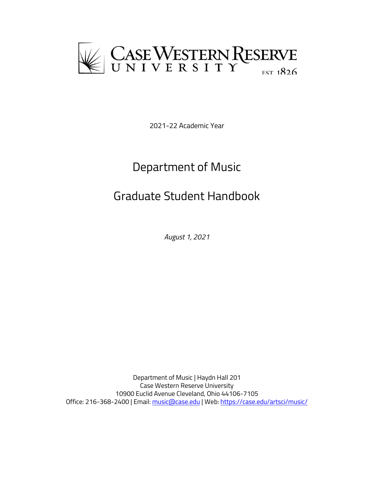

2021-22 Academic Year

# Department of Music

# Graduate Student Handbook

*August 1, 2021*

Department of Music | Haydn Hall 201 Case Western Reserve University 10900 Euclid Avenue Cleveland, Ohio 44106-7105 Office: 216-368-2400 | Email: music@case.edu | Web: https://case.edu/artsci/music/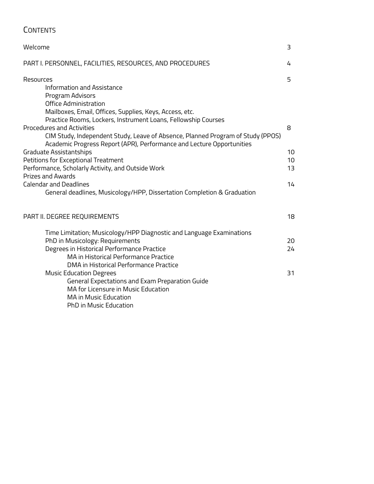## **CONTENTS**

| Welcome                                                                                                                                                                                                                                                                                                                                                                                                                                                                     | 3                   |
|-----------------------------------------------------------------------------------------------------------------------------------------------------------------------------------------------------------------------------------------------------------------------------------------------------------------------------------------------------------------------------------------------------------------------------------------------------------------------------|---------------------|
| PART I. PERSONNEL, FACILITIES, RESOURCES, AND PROCEDURES                                                                                                                                                                                                                                                                                                                                                                                                                    | 4                   |
| Resources<br><b>Information and Assistance</b><br>Program Advisors<br><b>Office Administration</b>                                                                                                                                                                                                                                                                                                                                                                          | 5                   |
| Mailboxes, Email, Offices, Supplies, Keys, Access, etc.<br>Practice Rooms, Lockers, Instrument Loans, Fellowship Courses<br>Procedures and Activities<br>CIM Study, Independent Study, Leave of Absence, Planned Program of Study (PPOS)<br>Academic Progress Report (APR), Performance and Lecture Opportunities<br><b>Graduate Assistantships</b><br>Petitions for Exceptional Treatment<br>Performance, Scholarly Activity, and Outside Work<br><b>Prizes and Awards</b> | 8<br>10<br>10<br>13 |
| <b>Calendar and Deadlines</b><br>General deadlines, Musicology/HPP, Dissertation Completion & Graduation                                                                                                                                                                                                                                                                                                                                                                    | 14                  |
| PART II. DEGREE REQUIREMENTS                                                                                                                                                                                                                                                                                                                                                                                                                                                | 18                  |
| Time Limitation; Musicology/HPP Diagnostic and Language Examinations<br>PhD in Musicology: Requirements<br>Degrees in Historical Performance Practice<br>MA in Historical Performance Practice<br>DMA in Historical Performance Practice                                                                                                                                                                                                                                    | 20<br>24            |
| <b>Music Education Degrees</b><br>General Expectations and Exam Preparation Guide<br>MA for Licensure in Music Education<br><b>MA</b> in Music Education<br>PhD in Music Education                                                                                                                                                                                                                                                                                          | 31                  |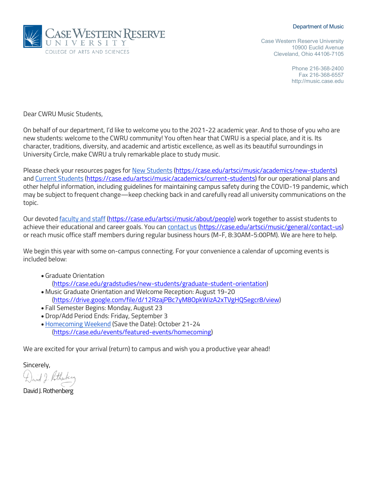#### Department of Music



Case Western Reserve University 10900 Euclid Avenue Cleveland, Ohio 44106-7105

> Phone 216-368-2400 Fax 216-368-6557 http://music.case.edu

Dear CWRU Music Students,

On behalf of our department, I'd like to welcome you to the 2021-22 academic year. And to those of you who are new students: welcome to the CWRU community! You often hear that CWRU is a special place, and it is. Its character, traditions, diversity, and academic and artistic excellence, as well as its beautiful surroundings in University Circle, make CWRU a truly remarkable place to study music.

Please check your resources pages for New Students (https://case.edu/artsci/music/academics/new-students) and Current Students (https://case.edu/artsci/music/academics/current-students) for our operational plans and other helpful information, including guidelines for maintaining campus safety during the COVID-19 pandemic, which may be subject to frequent change—keep checking back in and carefully read all university communications on the topic.

Our devoted faculty and staff (https://case.edu/artsci/music/about/people) work together to assist students to achieve their educational and career goals. You can contact us (https://case.edu/artsci/music/general/contact-us) or reach music office staff members during regular business hours (M-F, 8:30AM-5:00PM). We are here to help.

We begin this year with some on-campus connecting. For your convenience a calendar of upcoming events is included below:

- Graduate Orientation (https://case.edu/gradstudies/new-students/graduate-student-orientation)
- Music Graduate Orientation and Welcome Reception: August 19-20 (https://drive.google.com/file/d/12RzajPBc7yM8OpkWizA2xTVgHQSegcr8/view)
- Fall Semester Begins: Monday, August 23
- Drop/Add Period Ends: Friday, September 3
- Homecoming Weekend (Save the Date): October 21-24 (https://case.edu/events/featured-events/homecoming)

We are excited for your arrival (return) to campus and wish you a productive year ahead!

Sincerely,

wid J. Rothenberg

David J. Rothenberg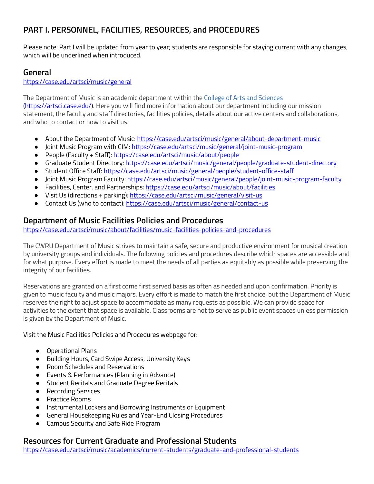## **PART I. PERSONNEL, FACILITIES, RESOURCES, and PROCEDURES**

Please note: Part I will be updated from year to year; students are responsible for staying current with any changes, which will be underlined when introduced.

## **General**

https://case.edu/artsci/music/general

The Department of Music is an academic department within the College of Arts and Sciences (https://artsci.case.edu/). Here you will find more information about our department including our mission statement, the faculty and staff directories, facilities policies, details about our active centers and collaborations, and who to contact or how to visit us.

- About the Department of Music: https://case.edu/artsci/music/general/about-department-music
- Joint Music Program with CIM: https://case.edu/artsci/music/general/joint-music-program
- People (Faculty + Staff): https://case.edu/artsci/music/about/people
- Graduate Student Directory: https://case.edu/artsci/music/general/people/graduate-student-directory
- Student Office Staff: https://case.edu/artsci/music/general/people/student-office-staff
- Joint Music Program Faculty: https://case.edu/artsci/music/general/people/joint-music-program-faculty
- Facilities, Center, and Partnerships: https://case.edu/artsci/music/about/facilities
- Visit Us (directions + parking): https://case.edu/artsci/music/general/visit-us
- Contact Us (who to contact): https://case.edu/artsci/music/general/contact-us

## **Department of Music Facilities Policies and Procedures**

https://case.edu/artsci/music/about/facilities/music-facilities-policies-and-procedures

The CWRU Department of Music strives to maintain a safe, secure and productive environment for musical creation by university groups and individuals. The following policies and procedures describe which spaces are accessible and for what purpose. Every effort is made to meet the needs of all parties as equitably as possible while preserving the integrity of our facilities.

Reservations are granted on a first come first served basis as often as needed and upon confirmation. Priority is given to music faculty and music majors. Every effort is made to match the first choice, but the Department of Music reserves the right to adjust space to accommodate as many requests as possible. We can provide space for activities to the extent that space is available. Classrooms are not to serve as public event spaces unless permission is given by the Department of Music.

Visit the Music Facilities Policies and Procedures webpage for:

- Operational Plans
- Building Hours, Card Swipe Access, University Keys
- Room Schedules and Reservations
- Events & Performances (Planning in Advance)
- Student Recitals and Graduate Degree Recitals
- Recording Services
- Practice Rooms
- Instrumental Lockers and Borrowing Instruments or Equipment
- General Housekeeping Rules and Year-End Closing Procedures
- Campus Security and Safe Ride Program

## **Resources for Current Graduate and Professional Students**

https://case.edu/artsci/music/academics/current-students/graduate-and-professional-students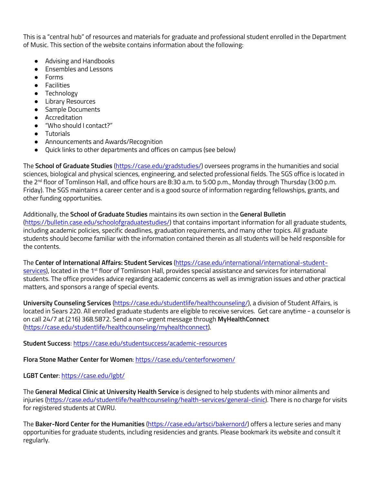This is a "central hub" of resources and materials for graduate and professional student enrolled in the Department of Music. This section of the website contains information about the following:

- Advising and Handbooks
- Ensembles and Lessons
- Forms
- Facilities
- Technology
- Library Resources
- Sample Documents
- Accreditation
- "Who should I contact?"
- Tutorials
- Announcements and Awards/Recognition
- Quick links to other departments and offices on campus (see below)

The **School of Graduate Studies** (https://case.edu/gradstudies/) oversees programs in the humanities and social sciences, biological and physical sciences, engineering, and selected professional fields. The SGS office is located in the 2nd floor of Tomlinson Hall, and office hours are 8:30 a.m. to 5:00 p.m., Monday through Thursday (3:00 p.m. Friday). The SGS maintains a career center and is a good source of information regarding fellowships, grants, and other funding opportunities.

Additionally, the **School of Graduate Studies** maintains its own section in the **General Bulletin** (https://bulletin.case.edu/schoolofgraduatestudies/) that contains important information for all graduate students, including academic policies, specific deadlines, graduation requirements, and many other topics. All graduate students should become familiar with the information contained therein as all students will be held responsible for the contents.

The **Center of International Affairs: Student Services** (https://case.edu/international/international-studentservices), located in the 1<sup>st</sup> floor of Tomlinson Hall, provides special assistance and services for international students. The office provides advice regarding academic concerns as well as immigration issues and other practical matters, and sponsors a range of special events.

**University Counseling Services** (https://case.edu/studentlife/healthcounseling/), a division of Student Affairs, is located in Sears 220. All enrolled graduate students are eligible to receive services. Get care anytime - a counselor is on call 24/7 at (216) 368.5872. Send a non-urgent message through **MyHealthConnect**  (https://case.edu/studentlife/healthcounseling/myhealthconnect).

**Student Success**: https://case.edu/studentsuccess/academic-resources

**Flora Stone Mather Center for Women**: https://case.edu/centerforwomen/

**LGBT Center**: https://case.edu/lgbt/

The **General Medical Clinic at University Health Service** is designed to help students with minor ailments and injuries (https://case.edu/studentlife/healthcounseling/health-services/general-clinic). There is no charge for visits for registered students at CWRU.

The **Baker-Nord Center for the Humanities** (https://case.edu/artsci/bakernord/) offers a lecture series and many opportunities for graduate students, including residencies and grants. Please bookmark its website and consult it regularly.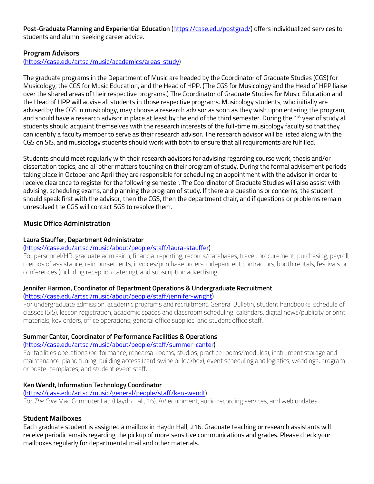**Post-Graduate Planning and Experiential Education** (https://case.edu/postgrad/) offers individualized services to students and alumni seeking career advice.

### **Program Advisors**

(https://case.edu/artsci/music/academics/areas-study)

The graduate programs in the Department of Music are headed by the Coordinator of Graduate Studies (CGS) for Musicology, the CGS for Music Education, and the Head of HPP. (The CGS for Musicology and the Head of HPP liaise over the shared areas of their respective programs.) The Coordinator of Graduate Studies for Music Education and the Head of HPP will advise all students in those respective programs. Musicology students, who initially are advised by the CGS in musicology, may choose a research advisor as soon as they wish upon entering the program, and should have a research advisor in place at least by the end of the third semester. During the 1<sup>st</sup> year of study all students should acquaint themselves with the research interests of the full-time musicology faculty so that they can identify a faculty member to serve as their research advisor. The research advisor will be listed along with the CGS on SIS, and musicology students should work with both to ensure that all requirements are fulfilled.

Students should meet regularly with their research advisors for advising regarding course work, thesis and/or dissertation topics, and all other matters touching on their program of study. During the formal advisement periods taking place in October and April they are responsible for scheduling an appointment with the advisor in order to receive clearance to register for the following semester. The Coordinator of Graduate Studies will also assist with advising, scheduling exams, and planning the program of study. If there are questions or concerns, the student should speak first with the advisor, then the CGS, then the department chair, and if questions or problems remain unresolved the CGS will contact SGS to resolve them.

### **Music Office Administration**

#### **Laura Stauffer, Department Administrator**

#### (https://case.edu/artsci/music/about/people/staff/laura-stauffer)

For personnel/HR, graduate admission, financial reporting, records/databases, travel, procurement, purchasing, payroll, memos of assistance, reimbursements, invoices/purchase orders, independent contractors, booth rentals, festivals or conferences (including reception catering), and subscription advertising.

#### **Jennifer Harmon, Coordinator of Department Operations & Undergraduate Recruitment**

#### (https://case.edu/artsci/music/about/people/staff/jennifer-wright)

For undergraduate admission, academic programs and recruitment, General Bulletin, student handbooks, schedule of classes (SIS), lesson registration, academic spaces and classroom scheduling, calendars, digital news/publicity or print materials, key orders, office operations, general office supplies, and student office staff.

#### **Summer Canter, Coordinator of Performance Facilities & Operations**

#### (https://case.edu/artsci/music/about/people/staff/summer-canter)

For facilities operations (performance, rehearsal rooms, studios, practice rooms/modules), instrument storage and maintenance, piano tuning, building access (card swipe or lockbox), event scheduling and logistics, weddings, program or poster templates, and student event staff.

#### **Ken Wendt, Information Technology Coordinator**

(https://case.edu/artsci/music/general/people/staff/ken-wendt) For *The Core* Mac Computer Lab (Haydn Hall, 16), AV equipment, audio recording services, and web updates.

## **Student Mailboxes**

Each graduate student is assigned a mailbox in Haydn Hall, 216. Graduate teaching or research assistants will receive periodic emails regarding the pickup of more sensitive communications and grades. Please check your mailboxes regularly for departmental mail and other materials.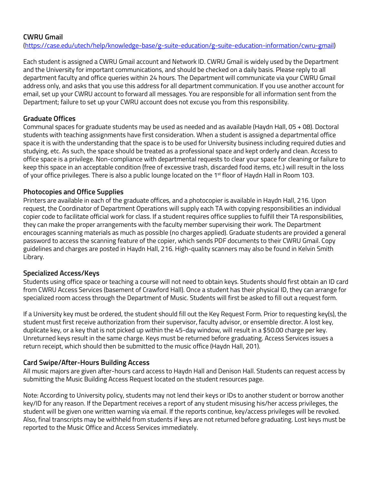## **CWRU Gmail**

(https://case.edu/utech/help/knowledge-base/g-suite-education/g-suite-education-information/cwru-gmail)

Each student is assigned a CWRU Gmail account and Network ID. CWRU Gmail is widely used by the Department and the University for important communications, and should be checked on a daily basis. Please reply to all department faculty and office queries within 24 hours. The Department will communicate via your CWRU Gmail address only, and asks that you use this address for all department communication. If you use another account for email, set up your CWRU account to forward all messages. You are responsible for all information sent from the Department; failure to set up your CWRU account does not excuse you from this responsibility.

## **Graduate Offices**

Communal spaces for graduate students may be used as needed and as available (Haydn Hall, 05 + 08). Doctoral students with teaching assignments have first consideration. When a student is assigned a departmental office space it is with the understanding that the space is to be used for University business including required duties and studying, etc. As such, the space should be treated as a professional space and kept orderly and clean. Access to office space is a privilege. Non-compliance with departmental requests to clear your space for cleaning or failure to keep this space in an acceptable condition (free of excessive trash, discarded food items, etc.) will result in the loss of your office privileges. There is also a public lounge located on the 1<sup>st</sup> floor of Haydn Hall in Room 103.

## **Photocopies and Office Supplies**

Printers are available in each of the graduate offices, and a photocopier is available in Haydn Hall, 216. Upon request, the Coordinator of Department Operations will supply each TA with copying responsibilities an individual copier code to facilitate official work for class. If a student requires office supplies to fulfill their TA responsibilities, they can make the proper arrangements with the faculty member supervising their work. The Department encourages scanning materials as much as possible (no charges applied). Graduate students are provided a general password to access the scanning feature of the copier, which sends PDF documents to their CWRU Gmail. Copy guidelines and charges are posted in Haydn Hall, 216. High-quality scanners may also be found in Kelvin Smith Library.

## **Specialized Access/Keys**

Students using office space or teaching a course will not need to obtain keys. Students should first obtain an ID card from CWRU Access Services (basement of Crawford Hall). Once a student has their physical ID, they can arrange for specialized room access through the Department of Music. Students will first be asked to fill out a request form.

If a University key must be ordered, the student should fill out the Key Request Form. Prior to requesting key(s), the student must first receive authorization from their supervisor, faculty advisor, or ensemble director. A lost key, duplicate key, or a key that is not picked up within the 45-day window, will result in a \$50.00 charge per key. Unreturned keys result in the same charge. Keys must be returned before graduating. Access Services issues a return receipt, which should then be submitted to the music office (Haydn Hall, 201).

## **Card Swipe/After-Hours Building Access**

All music majors are given after-hours card access to Haydn Hall and Denison Hall. Students can request access by submitting the Music Building Access Request located on the student resources page.

Note: According to University policy, students may not lend their keys or IDs to another student or borrow another key/ID for any reason. If the Department receives a report of any student misusing his/her access privileges, the student will be given one written warning via email. If the reports continue, key/access privileges will be revoked. Also, final transcripts may be withheld from students if keys are not returned before graduating. Lost keys must be reported to the Music Office and Access Services immediately.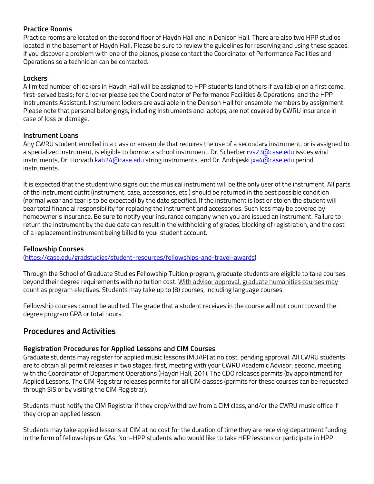## **Practice Rooms**

Practice rooms are located on the second floor of Haydn Hall and in Denison Hall. There are also two HPP studios located in the basement of Haydn Hall. Please be sure to review the guidelines for reserving and using these spaces. If you discover a problem with one of the pianos, please contact the Coordinator of Performance Facilities and Operations so a technician can be contacted.

## **Lockers**

A limited number of lockers in Haydn Hall will be assigned to HPP students (and others if available) on a first come, first-served basis; for a locker please see the Coordinator of Performance Facilities & Operations, and the HPP Instruments Assistant. Instrument lockers are available in the Denison Hall for ensemble members by assignment Please note that personal belongings, including instruments and laptops, are not covered by CWRU insurance in case of loss or damage.

## **Instrument Loans**

Any CWRU student enrolled in a class or ensemble that requires the use of a secondary instrument, or is assigned to a specialized instrument, is eligible to borrow a school instrument. Dr. Scherber rvs23@case.edu issues wind instruments, Dr. Horvath kah24@case.edu string instruments, and Dr. Andrijeski jxa4@case.edu period instruments.

It is expected that the student who signs out the musical instrument will be the only user of the instrument. All parts of the instrument outfit (instrument, case, accessories, etc.) should be returned in the best possible condition (normal wear and tear is to be expected) by the date specified. If the instrument is lost or stolen the student will bear total financial responsibility for replacing the instrument and accessories. Such loss may be covered by homeowner's insurance. Be sure to notify your insurance company when you are issued an instrument. Failure to return the instrument by the due date can result in the withholding of grades, blocking of registration, and the cost of a replacement instrument being billed to your student account.

## **Fellowship Courses**

(https://case.edu/gradstudies/student-resources/fellowships-and-travel-awards)

Through the School of Graduate Studies Fellowship Tuition program, graduate students are eligible to take courses beyond their degree requirements with no tuition cost. With advisor approval, graduate humanities courses may count as program electives. Students may take up to (8) courses, including language courses.

Fellowship courses cannot be audited. The grade that a student receives in the course will not count toward the degree program GPA or total hours.

## **Procedures and Activities**

## **Registration Procedures for Applied Lessons and CIM Courses**

Graduate students may register for applied music lessons (MUAP) at no cost, pending approval. All CWRU students are to obtain all permit releases in two stages: first, meeting with your CWRU Academic Advisor; second, meeting with the Coordinator of Department Operations (Haydn Hall, 201). The CDO releases permits (by appointment) for Applied Lessons. The CIM Registrar releases permits for all CIM classes (permits for these courses can be requested through SIS or by visiting the CIM Registrar).

Students must notify the CIM Registrar if they drop/withdraw from a CIM class, and/or the CWRU music office if they drop an applied lesson.

Students may take applied lessons at CIM at no cost for the duration of time they are receiving department funding in the form of fellowships or GAs. Non-HPP students who would like to take HPP lessons or participate in HPP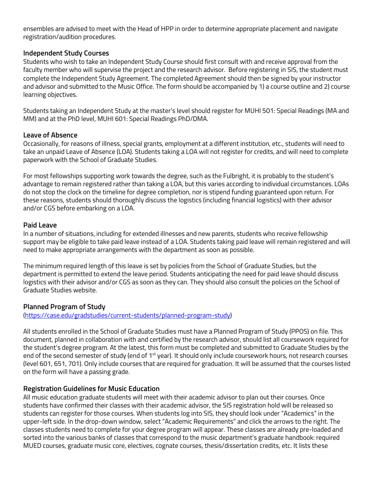ensembles are advised to meet with the Head of HPP in order to determine appropriate placement and navigate registration/audition procedures.

### **Independent Study Courses**

Students who wish to take an Independent Study Course should first consult with and receive approval from the faculty member who will supervise the project and the research advisor. Before registering in SIS, the student must complete the Independent Study Agreement. The completed Agreement should then be signed by your instructor and advisor and submitted to the Music Office. The form should be accompanied by 1) a course outline and 2) course learning objectives.

Students taking an Independent Study at the master's level should register for MUHI 501: Special Readings (MA and MM) and at the PhD level, MUHI 601: Special Readings PhD/DMA.

## **Leave of Absence**

Occasionally, for reasons of illness, special grants, employment at a different institution, etc., students will need to take an unpaid Leave of Absence (LOA). Students taking a LOA will not register for credits, and will need to complete paperwork with the School of Graduate Studies.

For most fellowships supporting work towards the degree, such as the Fulbright, it is probably to the student's advantage to remain registered rather than taking a LOA, but this varies according to individual circumstances. LOAs do not stop the clock on the timeline for degree completion, nor is stipend funding guaranteed upon return. For these reasons, students should thoroughly discuss the logistics (including financial logistics) with their advisor and/or CGS before embarking on a LOA.

### **Paid Leave**

In a number of situations, including for extended illnesses and new parents, students who receive fellowship support may be eligible to take paid leave instead of a LOA. Students taking paid leave will remain registered and will need to make appropriate arrangements with the department as soon as possible.

The minimum required length of this leave is set by policies from the School of Graduate Studies, but the department is permitted to extend the leave period. Students anticipating the need for paid leave should discuss logistics with their advisor and/or CGS as soon as they can. They should also consult the policies on the School of Graduate Studies website.

## **Planned Program of Study**

(https://case.edu/gradstudies/current-students/planned-program-study)

All students enrolled in the School of Graduate Studies must have a Planned Program of Study (PPOS) on file. This document, planned in collaboration with and certified by the research advisor, should list all coursework required for the student's degree program. At the latest, this form must be completed and submitted to Graduate Studies by the end of the second semester of study (end of 1<sup>st</sup> year). It should only include coursework hours, not research courses (level 601, 651, 701). Only include courses that are required for graduation. It will be assumed that the courses listed on the form will have a passing grade.

## **Registration Guidelines for Music Education**

All music education graduate students will meet with their academic advisor to plan out their courses. Once students have confirmed their classes with their academic advisor, the SIS registration hold will be released so students can register for those courses. When students log into SIS, they should look under "Academics" in the upper-left side. In the drop-down window, select "Academic Requirements" and click the arrows to the right. The classes students need to complete for your degree program will appear. These classes are already pre-loaded and sorted into the various banks of classes that correspond to the music department's graduate handbook: required MUED courses, graduate music core, electives, cognate courses, thesis/dissertation credits, etc. It lists these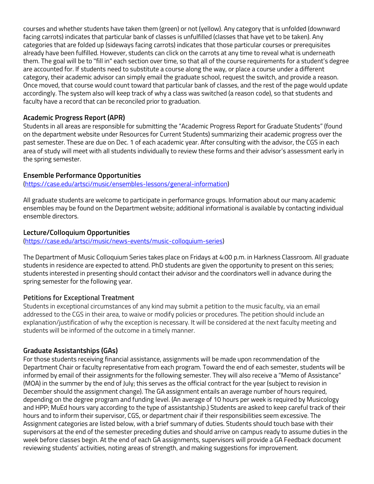courses and whether students have taken them (green) or not (yellow). Any category that is unfolded (downward facing carrots) indicates that particular bank of classes is unfulfilled (classes that have yet to be taken). Any categories that are folded up (sideways facing carrots) indicates that those particular courses or prerequisites already have been fulfilled. However, students can click on the carrots at any time to reveal what is underneath them. The goal will be to "fill in" each section over time, so that all of the course requirements for a student's degree are accounted for. If students need to substitute a course along the way, or place a course under a different category, their academic advisor can simply email the graduate school, request the switch, and provide a reason. Once moved, that course would count toward that particular bank of classes, and the rest of the page would update accordingly. The system also will keep track of why a class was switched (a reason code), so that students and faculty have a record that can be reconciled prior to graduation. 

## **Academic Progress Report (APR)**

Students in all areas are responsible for submitting the "Academic Progress Report for Graduate Students" (found on the department website under Resources for Current Students) summarizing their academic progress over the past semester. These are due on Dec. 1 of each academic year. After consulting with the advisor, the CGS in each area of study will meet with all students individually to review these forms and their advisor's assessment early in the spring semester.

## **Ensemble Performance Opportunities**

(https://case.edu/artsci/music/ensembles-lessons/general-information)

All graduate students are welcome to participate in performance groups. Information about our many academic ensembles may be found on the Department website; additional informational is available by contacting individual ensemble directors.

## **Lecture/Colloquium Opportunities**

(https://case.edu/artsci/music/news-events/music-colloquium-series)

The Department of Music Colloquium Series takes place on Fridays at 4:00 p.m. in Harkness Classroom. All graduate students in residence are expected to attend. PhD students are given the opportunity to present on this series; students interested in presenting should contact their advisor and the coordinators well in advance during the spring semester for the following year.

## **Petitions for Exceptional Treatment**

Students in exceptional circumstances of any kind may submit a petition to the music faculty, via an email addressed to the CGS in their area, to waive or modify policies or procedures. The petition should include an explanation/justification of why the exception is necessary. It will be considered at the next faculty meeting and students will be informed of the outcome in a timely manner.

## **Graduate Assistantships (GAs)**

For those students receiving financial assistance, assignments will be made upon recommendation of the Department Chair or faculty representative from each program. Toward the end of each semester, students will be informed by email of their assignments for the following semester. They will also receive a "Memo of Assistance" (MOA) in the summer by the end of July; this serves as the official contract for the year (subject to revision in December should the assignment change). The GA assignment entails an average number of hours required, depending on the degree program and funding level. (An average of 10 hours per week is required by Musicology and HPP; MuEd hours vary according to the type of assistantship.) Students are asked to keep careful track of their hours and to inform their supervisor, CGS, or department chair if their responsibilities seem excessive. The Assignment categories are listed below, with a brief summary of duties. Students should touch base with their supervisors at the end of the semester preceding duties and should arrive on campus ready to assume duties in the week before classes begin. At the end of each GA assignments, supervisors will provide a GA Feedback document reviewing students' activities, noting areas of strength, and making suggestions for improvement.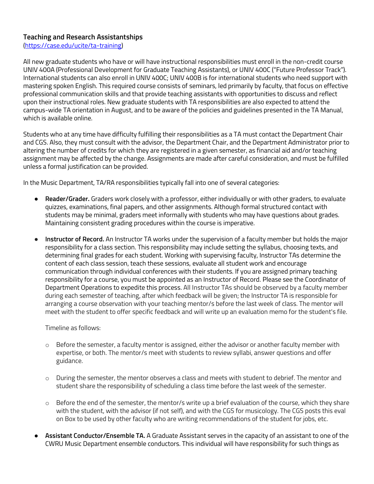## **Teaching and Research Assistantships**

(https://case.edu/ucite/ta-training)

All new graduate students who have or will have instructional responsibilities must enroll in the non-credit course UNIV 400A (Professional Development for Graduate Teaching Assistants), or UNIV 400C ("Future Professor Track"). International students can also enroll in UNIV 400C; UNIV 400B is for international students who need support with mastering spoken English. This required course consists of seminars, led primarily by faculty, that focus on effective professional communication skills and that provide teaching assistants with opportunities to discuss and reflect upon their instructional roles. New graduate students with TA responsibilities are also expected to attend the campus-wide TA orientation in August, and to be aware of the policies and guidelines presented in the TA Manual, which is available online.

Students who at any time have difficulty fulfilling their responsibilities as a TA must contact the Department Chair and CGS. Also, they must consult with the advisor, the Department Chair, and the Department Administrator prior to altering the number of credits for which they are registered in a given semester, as financial aid and/or teaching assignment may be affected by the change. Assignments are made after careful consideration, and must be fulfilled unless a formal justification can be provided.

In the Music Department, TA/RA responsibilities typically fall into one of several categories:

- **Reader/Grader.** Graders work closely with a professor, either individually or with other graders, to evaluate quizzes, examinations, final papers, and other assignments. Although formal structured contact with students may be minimal, graders meet informally with students who may have questions about grades. Maintaining consistent grading procedures within the course is imperative.
- **Instructor of Record.** An Instructor TA works under the supervision of a faculty member but holds the major responsibility for a class section. This responsibility may include setting the syllabus, choosing texts, and determining final grades for each student. Working with supervising faculty, Instructor TAs determine the content of each class session, teach these sessions, evaluate all student work and encourage communication through individual conferences with their students. If you are assigned primary teaching responsibility for a course, you must be appointed as an Instructor of Record. Please see the Coordinator of Department Operations to expedite this process. All Instructor TAs should be observed by a faculty member during each semester of teaching, after which feedback will be given; the Instructor TA is responsible for arranging a course observation with your teaching mentor/s before the last week of class. The mentor will meet with the student to offer specific feedback and will write up an evaluation memo for the student's file.

Timeline as follows:

- $\circ$  Before the semester, a faculty mentor is assigned, either the advisor or another faculty member with expertise, or both. The mentor/s meet with students to review syllabi, answer questions and offer guidance.
- $\circ$  During the semester, the mentor observes a class and meets with student to debrief. The mentor and student share the responsibility of scheduling a class time before the last week of the semester.
- $\circ$  Before the end of the semester, the mentor/s write up a brief evaluation of the course, which they share with the student, with the advisor (if not self), and with the CGS for musicology. The CGS posts this eval on Box to be used by other faculty who are writing recommendations of the student for jobs, etc.
- **Assistant Conductor/Ensemble TA.** A Graduate Assistant serves in the capacity of an assistant to one of the CWRU Music Department ensemble conductors. This individual will have responsibility for such things as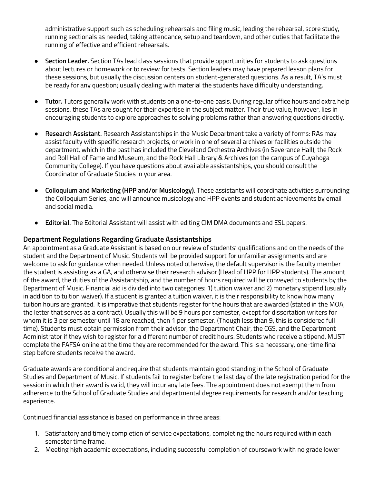administrative support such as scheduling rehearsals and filing music, leading the rehearsal, score study, running sectionals as needed, taking attendance, setup and teardown, and other duties that facilitate the running of effective and efficient rehearsals.

- **Section Leader.** Section TAs lead class sessions that provide opportunities for students to ask questions about lectures or homework or to review for tests. Section leaders may have prepared lesson plans for these sessions, but usually the discussion centers on student-generated questions. As a result, TA's must be ready for any question; usually dealing with material the students have difficulty understanding.
- **Tutor.** Tutors generally work with students on a one-to-one basis. During regular office hours and extra help sessions, these TAs are sought for their expertise in the subject matter. Their true value, however, lies in encouraging students to explore approaches to solving problems rather than answering questions directly.
- **Research Assistant.** Research Assistantships in the Music Department take a variety of forms: RAs may assist faculty with specific research projects, or work in one of several archives or facilities outside the department, which in the past has included the Cleveland Orchestra Archives (in Severance Hall), the Rock and Roll Hall of Fame and Museum, and the Rock Hall Library & Archives (on the campus of Cuyahoga Community College). If you have questions about available assistantships, you should consult the Coordinator of Graduate Studies in your area.
- **Colloquium and Marketing (HPP and/or Musicology).** These assistants will coordinate activities surrounding the Colloquium Series, and will announce musicology and HPP events and student achievements by email and social media.
- **Editorial.** The Editorial Assistant will assist with editing CIM DMA documents and ESL papers.

## **Department Regulations Regarding Graduate Assistantships**

An appointment as a Graduate Assistant is based on our review of students' qualifications and on the needs of the student and the Department of Music. Students will be provided support for unfamiliar assignments and are welcome to ask for guidance when needed. Unless noted otherwise, the default supervisor is the faculty member the student is assisting as a GA, and otherwise their research advisor (Head of HPP for HPP students). The amount of the award, the duties of the Assistantship, and the number of hours required will be conveyed to students by the Department of Music. Financial aid is divided into two categories: 1) tuition waiver and 2) monetary stipend (usually in addition to tuition waiver). If a student is granted a tuition waiver, it is their responsibility to know how many tuition hours are granted. It is imperative that students register for the hours that are awarded (stated in the MOA, the letter that serves as a contract). Usually this will be 9 hours per semester, except for dissertation writers for whom it is 3 per semester until 18 are reached, then 1 per semester. (Though less than 9, this is considered full time). Students must obtain permission from their advisor, the Department Chair, the CGS, and the Department Administrator if they wish to register for a different number of credit hours. Students who receive a stipend, MUST complete the FAFSA online at the time they are recommended for the award. This is a necessary, one-time final step before students receive the award.

Graduate awards are conditional and require that students maintain good standing in the School of Graduate Studies and Department of Music. If students fail to register before the last day of the late registration period for the session in which their award is valid, they will incur any late fees. The appointment does not exempt them from adherence to the School of Graduate Studies and departmental degree requirements for research and/or teaching experience.

Continued financial assistance is based on performance in three areas:

- 1. Satisfactory and timely completion of service expectations, completing the hours required within each semester time frame.
- 2. Meeting high academic expectations, including successful completion of coursework with no grade lower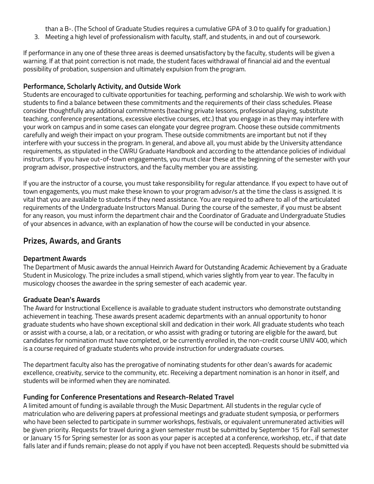than a B-. (The School of Graduate Studies requires a cumulative GPA of 3.0 to qualify for graduation.)

3. Meeting a high level of professionalism with faculty, staff, and students, in and out of coursework.

If performance in any one of these three areas is deemed unsatisfactory by the faculty, students will be given a warning. If at that point correction is not made, the student faces withdrawal of financial aid and the eventual possibility of probation, suspension and ultimately expulsion from the program.

## **Performance, Scholarly Activity, and Outside Work**

Students are encouraged to cultivate opportunities for teaching, performing and scholarship. We wish to work with students to find a balance between these commitments and the requirements of their class schedules. Please consider thoughtfully any additional commitments (teaching private lessons, professional playing, substitute teaching, conference presentations, excessive elective courses, etc.) that you engage in as they may interfere with your work on campus and in some cases can elongate your degree program. Choose these outside commitments carefully and weigh their impact on your program. These outside commitments are important but not if they interfere with your success in the program. In general, and above all, you must abide by the University attendance requirements, as stipulated in the CWRU Graduate Handbook and according to the attendance policies of individual instructors. If you have out-of-town engagements, you must clear these at the beginning of the semester with your program advisor, prospective instructors, and the faculty member you are assisting.

If you are the instructor of a course, you must take responsibility for regular attendance. If you expect to have out of town engagements, you must make these known to your program advisor/s at the time the class is assigned. It is vital that you are available to students if they need assistance. You are required to adhere to all of the articulated requirements of the Undergraduate Instructors Manual. During the course of the semester, if you must be absent for any reason, you must inform the department chair and the Coordinator of Graduate and Undergraduate Studies of your absences in advance, with an explanation of how the course will be conducted in your absence.

## **Prizes, Awards, and Grants**

## **Department Awards**

The Department of Music awards the annual Heinrich Award for Outstanding Academic Achievement by a Graduate Student in Musicology. The prize includes a small stipend, which varies slightly from year to year. The faculty in musicology chooses the awardee in the spring semester of each academic year.

## **Graduate Dean's Awards**

The Award for Instructional Excellence is available to graduate student instructors who demonstrate outstanding achievement in teaching. These awards present academic departments with an annual opportunity to honor graduate students who have shown exceptional skill and dedication in their work. All graduate students who teach or assist with a course, a lab, or a recitation, or who assist with grading or tutoring are eligible for the award, but candidates for nomination must have completed, or be currently enrolled in, the non-credit course UNIV 400, which is a course required of graduate students who provide instruction for undergraduate courses.

The department faculty also has the prerogative of nominating students for other dean's awards for academic excellence, creativity, service to the community, etc. Receiving a department nomination is an honor in itself, and students will be informed when they are nominated.

## **Funding for Conference Presentations and Research-Related Travel**

A limited amount of funding is available through the Music Department. All students in the regular cycle of matriculation who are delivering papers at professional meetings and graduate student symposia, or performers who have been selected to participate in summer workshops, festivals, or equivalent unremunerated activities will be given priority. Requests for travel during a given semester must be submitted by September 15 for Fall semester or January 15 for Spring semester (or as soon as your paper is accepted at a conference, workshop, etc., if that date falls later and if funds remain; please do not apply if you have not been accepted). Requests should be submitted via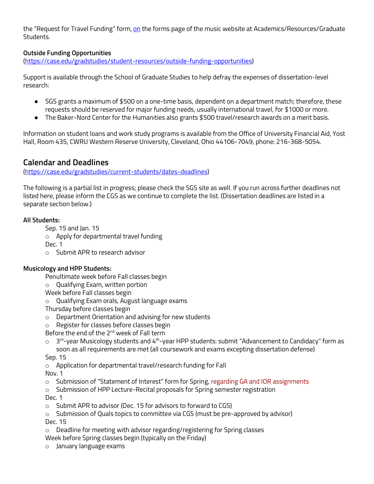the "Request for Travel Funding" form, <u>on</u> the forms page of the music website at Academics/Resources/Graduate Students.

## **Outside Funding Opportunities**

(https://case.edu/gradstudies/student-resources/outside-funding-opportunities)

Support is available through the School of Graduate Studies to help defray the expenses of dissertation-level research:

- SGS grants a maximum of \$500 on a one-time basis, dependent on a department match; therefore, these requests should be reserved for major funding needs, usually international travel, for \$1000 or more.
- The Baker-Nord Center for the Humanities also grants \$500 travel/research awards on a merit basis.

Information on student loans and work study programs is available from the Office of University Financial Aid, Yost Hall, Room 435, CWRU Western Reserve University, Cleveland, Ohio 44106-7049, phone: 216-368-5054.

## **Calendar and Deadlines**

(https://case.edu/gradstudies/current-students/dates-deadlines)

The following is a partial list in progress; please check the SGS site as well. If you run across further deadlines not listed here, please inform the CGS as we continue to complete the list. (Dissertation deadlines are listed in a separate section below.)

## **All Students:**

Sep. 15 and Jan. 15

o Apply for departmental travel funding

Dec. 1

o Submit APR to research advisor

## **Musicology and HPP Students:**

Penultimate week before Fall classes begin

- o Qualifying Exam, written portion
- Week before Fall classes begin
- o Qualifying Exam orals, August language exams

Thursday before classes begin

- o Department Orientation and advising for new students
- o Register for classes before classes begin
- Before the end of the 2<sup>nd</sup> week of Fall term
- $\circ$  3<sup>rd</sup>-year Musicology students and 4<sup>th</sup>-year HPP students: submit "Advancement to Candidacy" form as soon as all requirements are met (all coursework and exams excepting dissertation defense)

Sep. 15

o Application for departmental travel/research funding for Fall

Nov. 1

- o Submission of "Statement of Interest" form for Spring, regarding GA and IOR assignments
- o Submission of HPP Lecture-Recital proposals for Spring semester registration Dec. 1
- o Submit APR to advisor (Dec. 15 for advisors to forward to CGS)
- o Submission of Quals topics to committee via CGS (must be pre-approved by advisor) Dec. 15
- o Deadline for meeting with advisor regarding/registering for Spring classes
- Week before Spring classes begin (typically on the Friday)
- o January language exams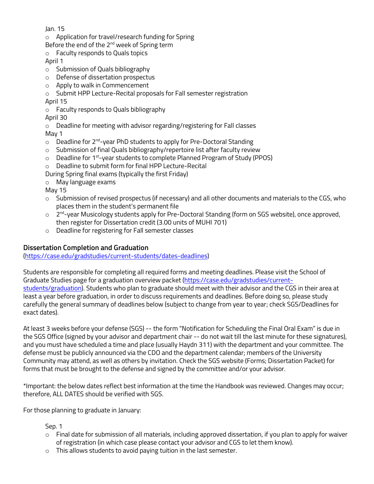Jan. 15

o Application for travel/research funding for Spring

Before the end of the 2<sup>nd</sup> week of Spring term

o Faculty responds to Quals topics

April 1

- o Submission of Quals bibliography
- o Defense of dissertation prospectus
- o Apply to walk in Commencement
- o Submit HPP Lecture-Recital proposals for Fall semester registration

April 15

o Faculty responds to Quals bibliography

April 30

- o Deadline for meeting with advisor regarding/registering for Fall classes May 1
- $\circ$  Deadline for 2<sup>nd</sup>-year PhD students to apply for Pre-Doctoral Standing
- o Submission of final Quals bibliography/repertoire list after faculty review
- o Deadline for 1<sup>st-</sup>year students to complete Planned Program of Study (PPOS)
- o Deadline to submit form for final HPP Lecture-Recital

During Spring final exams (typically the first Friday)

o May language exams

May 15

- o Submission of revised prospectus (if necessary) and all other documents and materials to the CGS, who places them in the student's permanent file
- o 2<sup>nd</sup>-year Musicology students apply for Pre-Doctoral Standing (form on SGS website), once approved, then register for Dissertation credit (3.00 units of MUHI 701)
- o Deadline for registering for Fall semester classes

## **Dissertation Completion and Graduation**

(https://case.edu/gradstudies/current-students/dates-deadlines)

Students are responsible for completing all required forms and meeting deadlines. Please visit the School of Graduate Studies page for a graduation overview packet (https://case.edu/gradstudies/currentstudents/graduation). Students who plan to graduate should meet with their advisor and the CGS in their area at least a year before graduation, in order to discuss requirements and deadlines. Before doing so, please study carefully the general summary of deadlines below (subject to change from year to year; check SGS/Deadlines for exact dates).

At least 3 weeks before your defense (SGS) -- the form "Notification for Scheduling the Final Oral Exam" is due in the SGS Office (signed by your advisor and department chair -- do not wait till the last minute for these signatures), and you must have scheduled a time and place (usually Haydn 311) with the department and your committee. The defense must be publicly announced via the CDO and the department calendar; members of the University Community may attend, as well as others by invitation. Check the SGS website (Forms; Dissertation Packet) for forms that must be brought to the defense and signed by the committee and/or your advisor.

\*Important: the below dates reflect best information at the time the Handbook was reviewed. Changes may occur; therefore, ALL DATES should be verified with SGS.

For those planning to graduate in January:

Sep. 1

- $\circ$  Final date for submission of all materials, including approved dissertation, if you plan to apply for waiver of registration (in which case please contact your advisor and CGS to let them know).
- o This allows students to avoid paying tuition in the last semester.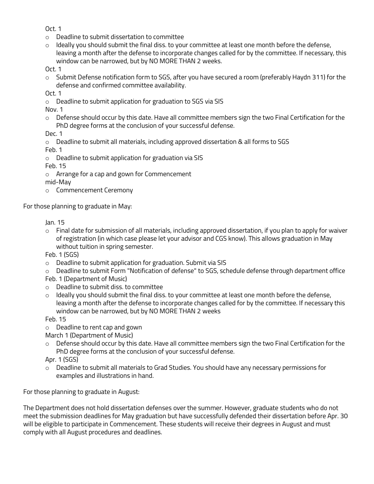Oct. 1

- o Deadline to submit dissertation to committee
- $\circ$  Ideally you should submit the final diss. to your committee at least one month before the defense, leaving a month after the defense to incorporate changes called for by the committee. If necessary, this window can be narrowed, but by NO MORE THAN 2 weeks.

Oct. 1

o Submit Defense notification form to SGS, after you have secured a room (preferably Haydn 311) for the defense and confirmed committee availability.

Oct. 1

o Deadline to submit application for graduation to SGS via SIS

Nov. 1

o Defense should occur by this date. Have all committee members sign the two Final Certification for the PhD degree forms at the conclusion of your successful defense.

Dec. 1

o Deadline to submit all materials, including approved dissertation & all forms to SGS

Feb. 1

o Deadline to submit application for graduation via SIS

Feb. 15

o Arrange for a cap and gown for Commencement

mid-May

o Commencement Ceremony

For those planning to graduate in May:

 $\circ$  Final date for submission of all materials, including approved dissertation, if you plan to apply for waiver of registration (in which case please let your advisor and CGS know). This allows graduation in May without tuition in spring semester.

Feb. 1 (SGS)

- o Deadline to submit application for graduation. Submit via SIS
- o Deadline to submit Form "Notification of defense" to SGS, schedule defense through department office Feb. 1 (Department of Music)
- o Deadline to submit diss. to committee
- $\circ$  Ideally you should submit the final diss. to your committee at least one month before the defense, leaving a month after the defense to incorporate changes called for by the committee. If necessary this window can be narrowed, but by NO MORE THAN 2 weeks

Feb. 15

o Deadline to rent cap and gown

March 1 (Department of Music)

 $\circ$  Defense should occur by this date. Have all committee members sign the two Final Certification for the PhD degree forms at the conclusion of your successful defense.

Apr. 1 (SGS)

o Deadline to submit all materials to Grad Studies. You should have any necessary permissions for examples and illustrations in hand.

For those planning to graduate in August:

The Department does not hold dissertation defenses over the summer. However, graduate students who do not meet the submission deadlines for May graduation but have successfully defended their dissertation before Apr. 30 will be eligible to participate in Commencement. These students will receive their degrees in August and must comply with all August procedures and deadlines.

Jan. 15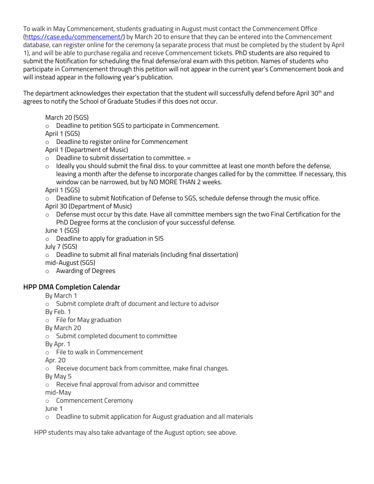To walk in May Commencement, students graduating in August must contact the Commencement Office (https://case.edu/commencement/) by March 20 to ensure that they can be entered into the Commencement database, can register online for the ceremony (a separate process that must be completed by the student by April 1), and will be able to purchase regalia and receive Commencement tickets. PhD students are also required to submit the Notification for scheduling the final defense/oral exam with this petition. Names of students who participate in Commencement through this petition will not appear in the current year's Commencement book and will instead appear in the following year's publication.

The department acknowledges their expectation that the student will successfully defend before April 30<sup>th</sup> and agrees to notify the School of Graduate Studies if this does not occur.

March 20 (SGS)

o Deadline to petition SGS to participate in Commencement.

April 1 (SGS)

o Deadline to register online for Commencement

April 1 (Department of Music)

- o Deadline to submit dissertation to committee. =
- $\circ$  Ideally you should submit the final diss. to your committee at least one month before the defense, leaving a month after the defense to incorporate changes called for by the committee. If necessary, this window can be narrowed, but by NO MORE THAN 2 weeks.

April 1 (SGS)

o Deadline to submit Notification of Defense to SGS, schedule defense through the music office. April 30 (Department of Music)

o Defense must occur by this date. Have all committee members sign the two Final Certification for the PhD Degree forms at the conclusion of your successful defense.

June 1 (SGS)

o Deadline to apply for graduation in SIS

July 7 (SGS)

o Deadline to submit all final materials (including final dissertation)

mid-August (SGS)

o Awarding of Degrees

## **HPP DMA Completion Calendar**

By March 1

o Submit complete draft of document and lecture to advisor

By Feb. 1

o File for May graduation

By March 20

o Submit completed document to committee

By Apr. 1

o File to walk in Commencement

Apr. 20

o Receive document back from committee, make final changes.

By May 5

o Receive final approval from advisor and committee

mid-May

o Commencement Ceremony

June 1

o Deadline to submit application for August graduation and all materials

HPP students may also take advantage of the August option; see above.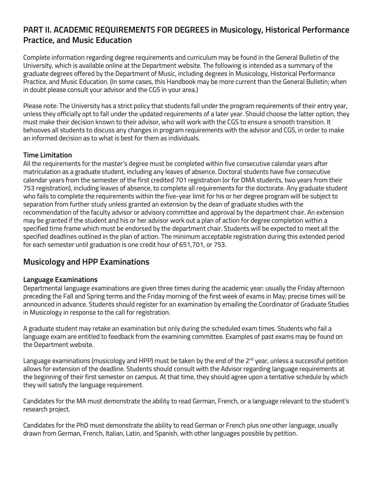## **PART II. ACADEMIC REQUIREMENTS FOR DEGREES in Musicology, Historical Performance Practice, and Music Education**

Complete information regarding degree requirements and curriculum may be found in the General Bulletin of the University, which is available online at the Department website. The following is intended as a summary of the graduate degrees offered by the Department of Music, including degrees in Musicology, Historical Performance Practice, and Music Education. (In some cases, this Handbook may be more current than the General Bulletin; when in doubt please consult your advisor and the CGS in your area.)

Please note: The University has a strict policy that students fall under the program requirements of their entry year, unless they officially opt to fall under the updated requirements of a later year. Should choose the latter option, they must make their decision known to their advisor, who will work with the CGS to ensure a smooth transition. It behooves all students to discuss any changes in program requirements with the advisor and CGS, in order to make an informed decision as to what is best for them as individuals.

## **Time Limitation**

All the requirements for the master's degree must be completed within five consecutive calendar years after matriculation as a graduate student, including any leaves of absence. Doctoral students have five consecutive calendar years from the semester of the first credited 701 registration (or for DMA students, two years from their 753 registration), including leaves of absence, to complete all requirements for the doctorate. Any graduate student who fails to complete the requirements within the five-year limit for his or her degree program will be subject to separation from further study unless granted an extension by the dean of graduate studies with the recommendation of the faculty advisor or advisory committee and approval by the department chair. An extension may be granted if the student and his or her advisor work out a plan of action for degree completion within a specified time frame which must be endorsed by the department chair. Students will be expected to meet all the specified deadlines outlined in the plan of action. The minimum acceptable registration during this extended period for each semester until graduation is one credit hour of 651,701, or 753.

## **Musicology and HPP Examinations**

## **Language Examinations**

Departmental language examinations are given three times during the academic year: usually the Friday afternoon preceding the Fall and Spring terms and the Friday morning of the first week of exams in May; precise times will be announced in advance. Students should register for an examination by emailing the Coordinator of Graduate Studies in Musicology in response to the call for registration.

A graduate student may retake an examination but only during the scheduled exam times. Students who fail a language exam are entitled to feedback from the examining committee. Examples of past exams may be found on the Department website.

Language examinations (musicology and HPP) must be taken by the end of the  $2^{nd}$  year, unless a successful petition allows for extension of the deadline. Students should consult with the Advisor regarding language requirements at the beginning of their first semester on campus. At that time, they should agree upon a tentative schedule by which they will satisfy the language requirement.

Candidates for the MA must demonstrate the ability to read German, French, or a language relevant to the student's research project.

Candidates for the PhD must demonstrate the ability to read German or French plus one other language, usually drawn from German, French, Italian, Latin, and Spanish, with other languages possible by petition.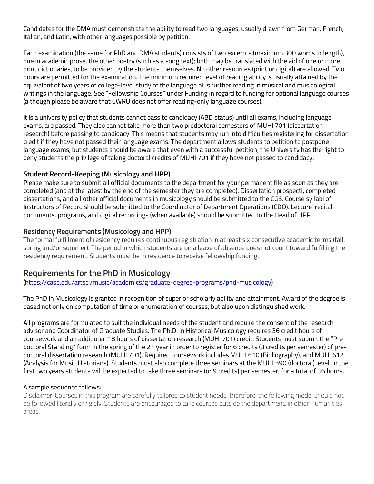Candidates for the DMA must demonstrate the ability to read two languages, usually drawn from German, French, Italian, and Latin, with other languages possible by petition.

Each examination (the same for PhD and DMA students) consists of two excerpts (maximum 300 words in length), one in academic prose, the other poetry (such as a song text); both may be translated with the aid of one or more print dictionaries, to be provided by the students themselves. No other resources (print or digital) are allowed. Two hours are permitted for the examination. The minimum required level of reading ability is usually attained by the equivalent of two years of college-level study of the language plus further reading in musical and musicological writings in the language. See "Fellowship Courses" under Funding in regard to funding for optional language courses (although please be aware that CWRU does not offer reading-only language courses).

It is a university policy that students cannot pass to candidacy (ABD status) until all exams, including language exams, are passed. They also cannot take more than two predoctoral semesters of MUHI 701 (dissertation research) before passing to candidacy. This means that students may run into difficulties registering for dissertation credit if they have not passed their language exams. The department allows students to petition to postpone language exams, but students should be aware that even with a successful petition, the University has the right to deny students the privilege of taking doctoral credits of MUHI 701 if they have not passed to candidacy.

## **Student Record-Keeping (Musicology and HPP)**

Please make sure to submit all official documents to the department for your permanent file as soon as they are completed (and at the latest by the end of the semester they are completed). Dissertation prospecti, completed dissertations, and all other official documents in musicology should be submitted to the CGS. Course syllabi of Instructors of Record should be submitted to the Coordinator of Department Operations (CDO). Lecture-recital documents, programs, and digital recordings (when available) should be submitted to the Head of HPP.

## **Residency Requirements (Musicology and HPP)**

The formal fulfillment of residency requires continuous registration in at least six consecutive academic terms (fall, spring and/or summer). The period in which students are on a leave of absence does not count toward fulfilling the residency requirement. Students must be in residence to receive fellowship funding.

## **Requirements for the PhD in Musicology**

(https://case.edu/artsci/music/academics/graduate-degree-programs/phd-musicology)

The PhD in Musicology is granted in recognition of superior scholarly ability and attainment. Award of the degree is based not only on computation of time or enumeration of courses, but also upon distinguished work.

All programs are formulated to suit the individual needs of the student and require the consent of the research advisor and Coordinator of Graduate Studies. The Ph.D. in Historical Musicology requires 36 credit hours of coursework and an additional 18 hours of dissertation research (MUHI 701) credit. Students must submit the "Predoctoral Standing" form in the spring of the 2<sup>nd</sup> year in order to register for 6 credits (3 credits per semester) of predoctoral dissertation research (MUHI 701). Required coursework includes MUHI 610 (Bibliography), and MUHI 612 (Analysis for Music Historians). Students must also complete three seminars at the MUHI 590 (doctoral) level. In the first two years students will be expected to take three seminars (or 9 credits) per semester, for a total of 36 hours.

## A sample sequence follows:

Disclaimer: Courses in this program are carefully tailored to student needs; therefore, the following model should not be followed literally or rigidly. Students are encouraged to take courses outside the department, in other Humanities areas.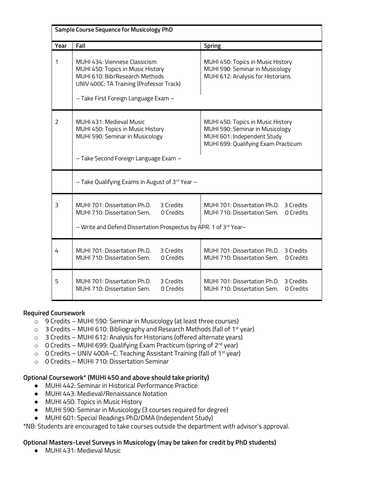|      | <b>Sample Course Sequence for Musicology PhD</b>                                                                                                                                         |                                                                                                                                            |  |  |  |  |
|------|------------------------------------------------------------------------------------------------------------------------------------------------------------------------------------------|--------------------------------------------------------------------------------------------------------------------------------------------|--|--|--|--|
| Year | Fall                                                                                                                                                                                     | <b>Spring</b>                                                                                                                              |  |  |  |  |
| 1    | MUHI 434: Viennese Classicism<br>MUHI 450: Topics in Music History<br>MUHI 610: Bib/Research Methods<br>UNIV 400C: TA Training (Professor Track)<br>- Take First Foreign Language Exam - | MUHI 450: Topics in Music History<br>MUHI 590: Seminar in Musicology<br>MUHI 612: Analysis for Historians                                  |  |  |  |  |
| 2    | MUHI 431: Medieval Music<br>MUHI 450: Topics in Music History<br>MUHI 590: Seminar in Musicology<br>- Take Second Foreign Language Exam -                                                | MUHI 450: Topics in Music History<br>MUHI 590: Seminar in Musicology<br>MUHI 601: Independent Study<br>MUHI 699: Qualifying Exam Practicum |  |  |  |  |
|      |                                                                                                                                                                                          |                                                                                                                                            |  |  |  |  |
|      | - Take Qualifying Exams in August of 3rd Year -                                                                                                                                          |                                                                                                                                            |  |  |  |  |
| 3    | MUHI 701: Dissertation Ph.D.<br>3 Credits<br>0 Credits<br>MUHI 710: Dissertation Sem.<br>- Write and Defend Dissertation Prospectus by APR. 1 of 3rd Year-                               | MUHI 701: Dissertation Ph.D.<br>3 Credits<br>MUHI 710: Dissertation Sem.<br>0 Credits                                                      |  |  |  |  |
| 4    | MUHI 701: Dissertation Ph.D.<br>3 Credits<br>MUHI 710: Dissertation Sem.<br><b>O</b> Credits                                                                                             | 3 Credits<br>MUHI 701: Dissertation Ph.D.<br>MUHI 710: Dissertation Sem.<br><b>O</b> Credits                                               |  |  |  |  |
| 5    | MUHI 701: Dissertation Ph.D.<br>3 Credits<br>MUHL710: Dissertation Sem.<br>0 Credits                                                                                                     | MUHI 701: Dissertation Ph.D.<br>3 Credits<br>MUHL710: Dissertation Sem.<br>0 Credits                                                       |  |  |  |  |

#### **Required Coursework**

- o 9 Credits MUHI 590: Seminar in Musicology (at least three courses)
- $\circ$  3 Credits MUHI 610: Bibliography and Research Methods (fall of 1<sup>st</sup> year)
- o 3 Credits MUHI 612: Analysis for Historians (offered alternate years)
- $\circ$  0 Credits MUHI 699: Qualifying Exam Practicum (spring of 2<sup>nd</sup> year)
- $\circ$  0 Credits UNIV 400A–C: Teaching Assistant Training (fall of 1<sup>st</sup> year)
- o 0 Credits MUHI 710: Dissertation Seminar

#### **Optional Coursework\* (MUHI 450 and above should take priority)**

- MUHI 442: Seminar in Historical Performance Practice
- MUHI 443: Medieval/Renaissance Notation
- MUHI 450: Topics in Music History
- MUHI 590: Seminar in Musicology (3 courses required for degree)
- MUHI 601: Special Readings PhD/DMA (Independent Study)

\*NB: Students are encouraged to take courses outside the department with advisor's approval.

#### **Optional Masters-Level Surveys in Musicology (may be taken for credit by PhD students)**

● MUHI 431: Medieval Music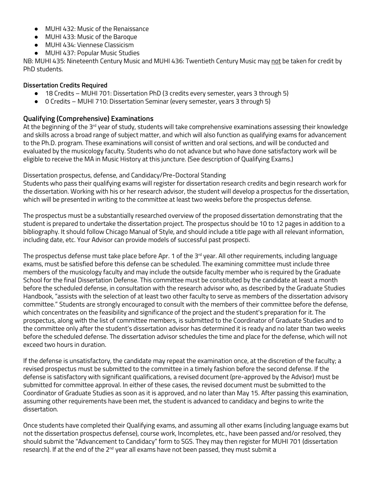- MUHI 432: Music of the Renaissance
- MUHI 433: Music of the Baroque
- MUHI 434: Viennese Classicism
- MUHI 437: Popular Music Studies

NB: MUHI 435: Nineteenth Century Music and MUHI 436: Twentieth Century Music may not be taken for credit by PhD students.

### **Dissertation Credits Required**

- 18 Credits MUHI 701: Dissertation PhD (3 credits every semester, years 3 through 5)
- 0 Credits MUHI 710: Dissertation Seminar (every semester, years 3 through 5)

## **Qualifying (Comprehensive) Examinations**

At the beginning of the 3<sup>rd</sup> year of study, students will take comprehensive examinations assessing their knowledge and skills across a broad range of subject matter, and which will also function as qualifying exams for advancement to the Ph.D. program. These examinations will consist of written and oral sections, and will be conducted and evaluated by the musicology faculty. Students who do not advance but who have done satisfactory work will be eligible to receive the MA in Music History at this juncture. (See description of Qualifying Exams.)

#### Dissertation prospectus, defense, and Candidacy/Pre-Doctoral Standing

Students who pass their qualifying exams will register for dissertation research credits and begin research work for the dissertation. Working with his or her research advisor, the student will develop a prospectus for the dissertation, which will be presented in writing to the committee at least two weeks before the prospectus defense.

The prospectus must be a substantially researched overview of the proposed dissertation demonstrating that the student is prepared to undertake the dissertation project. The prospectus should be 10 to 12 pages in addition to a bibliography. It should follow Chicago Manual of Style, and should include a title page with all relevant information, including date, etc. Your Advisor can provide models of successful past prospecti.

The prospectus defense must take place before Apr. 1 of the 3<sup>rd</sup> year. All other requirements, including language exams, must be satisfied before this defense can be scheduled. The examining committee must include three members of the musicology faculty and may include the outside faculty member who is required by the Graduate School for the final Dissertation Defense. This committee must be constituted by the candidate at least a month before the scheduled defense, in consultation with the research advisor who, as described by the Graduate Studies Handbook, "assists with the selection of at least two other faculty to serve as members of the dissertation advisory committee." Students are strongly encouraged to consult with the members of their committee before the defense, which concentrates on the feasibility and significance of the project and the student's preparation for it. The prospectus, along with the list of committee members, is submitted to the Coordinator of Graduate Studies and to the committee only after the student's dissertation advisor has determined it is ready and no later than two weeks before the scheduled defense. The dissertation advisor schedules the time and place for the defense, which will not exceed two hours in duration.

If the defense is unsatisfactory, the candidate may repeat the examination once, at the discretion of the faculty; a revised prospectus must be submitted to the committee in a timely fashion before the second defense. If the defense is satisfactory with significant qualifications, a revised document (pre-approved by the Advisor) must be submitted for committee approval. In either of these cases, the revised document must be submitted to the Coordinator of Graduate Studies as soon as it is approved, and no later than May 15. After passing this examination, assuming other requirements have been met, the student is advanced to candidacy and begins to write the dissertation.

Once students have completed their Qualifying exams, and assuming all other exams (including language exams but not the dissertation prospectus defense), course work, Incompletes, etc., have been passed and/or resolved, they should submit the "Advancement to Candidacy" form to SGS. They may then register for MUHI 701 (dissertation research). If at the end of the 2<sup>nd</sup> year all exams have not been passed, they must submit a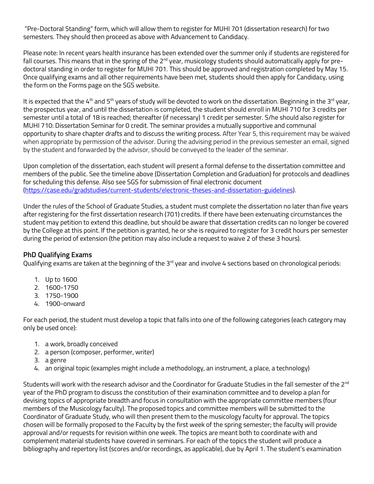"Pre-Doctoral Standing" form, which will allow them to register for MUHI 701 (dissertation research) for two semesters. They should then proceed as above with Advancement to Candidacy.

Please note: In recent years health insurance has been extended over the summer only if students are registered for fall courses. This means that in the spring of the 2<sup>nd</sup> year, musicology students should automatically apply for predoctoral standing in order to register for MUHI 701. This should be approved and registration completed by May 15. Once qualifying exams and all other requirements have been met, students should then apply for Candidacy, using the form on the Forms page on the SGS website.

It is expected that the 4<sup>th</sup> and 5<sup>th</sup> years of study will be devoted to work on the dissertation. Beginning in the 3<sup>rd</sup> year, the prospectus year, and until the dissertation is completed, the student should enroll in MUHI 710 for 3 credits per semester until a total of 18 is reached; thereafter (if necessary) 1 credit per semester. S/he should also register for MUHI 710: Dissertation Seminar for 0 credit. The seminar provides a mutually supportive and communal opportunity to share chapter drafts and to discuss the writing process. After Year 5, this requirement may be waived when appropriate by permission of the advisor. During the advising period in the previous semester an email, signed by the student and forwarded by the advisor, should be conveyed to the leader of the seminar.

Upon completion of the dissertation, each student will present a formal defense to the dissertation committee and members of the public. See the timeline above (Dissertation Completion and Graduation) for protocols and deadlines for scheduling this defense. Also see SGS for submission of final electronic document (https://case.edu/gradstudies/current-students/electronic-theses-and-dissertation-guidelines).

Under the rules of the School of Graduate Studies, a student must complete the dissertation no later than five years after registering for the first dissertation research (701) credits. If there have been extenuating circumstances the student may petition to extend this deadline, but should be aware that dissertation credits can no longer be covered by the College at this point. If the petition is granted, he or she is required to register for 3 credit hours per semester during the period of extension (the petition may also include a request to waive 2 of these 3 hours).

## **PhD Qualifying Exams**

Qualifying exams are taken at the beginning of the 3<sup>rd</sup> year and involve 4 sections based on chronological periods:

- 1. Up to 1600
- 2. 1600-1750
- 3. 1750-1900
- 4. 1900-onward

For each period, the student must develop a topic that falls into one of the following categories (each category may only be used once):

- 1. a work, broadly conceived
- 2. a person (composer, performer, writer)
- 3. a genre
- 4. an original topic (examples might include a methodology, an instrument, a place, a technology)

Students will work with the research advisor and the Coordinator for Graduate Studies in the fall semester of the 2<sup>nd</sup> year of the PhD program to discuss the constitution of their examination committee and to develop a plan for devising topics of appropriate breadth and focus in consultation with the appropriate committee members (four members of the Musicology faculty). The proposed topics and committee members will be submitted to the Coordinator of Graduate Study, who will then present them to the musicology faculty for approval. The topics chosen will be formally proposed to the Faculty by the first week of the spring semester; the faculty will provide approval and/or requests for revision within one week. The topics are meant both to coordinate with and complement material students have covered in seminars. For each of the topics the student will produce a bibliography and repertory list (scores and/or recordings, as applicable), due by April 1. The student's examination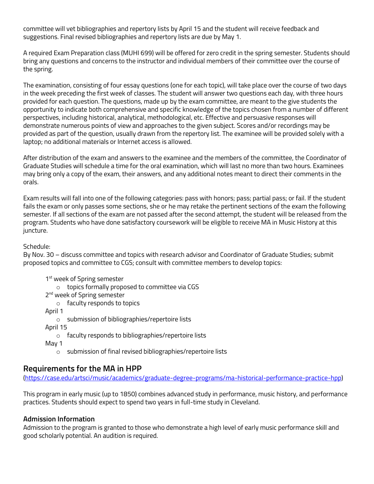committee will vet bibliographies and repertory lists by April 15 and the student will receive feedback and suggestions. Final revised bibliographies and repertory lists are due by May 1.

A required Exam Preparation class (MUHI 699) will be offered for zero credit in the spring semester. Students should bring any questions and concerns to the instructor and individual members of their committee over the course of the spring.

The examination, consisting of four essay questions (one for each topic), will take place over the course of two days in the week preceding the first week of classes. The student will answer two questions each day, with three hours provided for each question. The questions, made up by the exam committee, are meant to the give students the opportunity to indicate both comprehensive and specific knowledge of the topics chosen from a number of different perspectives, including historical, analytical, methodological, etc. Effective and persuasive responses will demonstrate numerous points of view and approaches to the given subject. Scores and/or recordings may be provided as part of the question, usually drawn from the repertory list. The examinee will be provided solely with a laptop; no additional materials or Internet access is allowed.

After distribution of the exam and answers to the examinee and the members of the committee, the Coordinator of Graduate Studies will schedule a time for the oral examination, which will last no more than two hours. Examinees may bring only a copy of the exam, their answers, and any additional notes meant to direct their comments in the orals.

Exam results will fall into one of the following categories: pass with honors; pass; partial pass; or fail. If the student fails the exam or only passes some sections, she or he may retake the pertinent sections of the exam the following semester. If all sections of the exam are not passed after the second attempt, the student will be released from the program. Students who have done satisfactory coursework will be eligible to receive MA in Music History at this juncture.

## Schedule:

By Nov. 30 – discuss committee and topics with research advisor and Coordinator of Graduate Studies; submit proposed topics and committee to CGS; consult with committee members to develop topics:

- 1<sup>st</sup> week of Spring semester
	- o topics formally proposed to committee via CGS
- 2<sup>nd</sup> week of Spring semester
	- o faculty responds to topics
- April 1
	- o submission of bibliographies/repertoire lists
- April 15
	- o faculty responds to bibliographies/repertoire lists
- May 1
	- o submission of final revised bibliographies/repertoire lists

## **Requirements for the MA in HPP**

(https://case.edu/artsci/music/academics/graduate-degree-programs/ma-historical-performance-practice-hpp)

This program in early music (up to 1850) combines advanced study in performance, music history, and performance practices. Students should expect to spend two years in full-time study in Cleveland.

## **Admission Information**

Admission to the program is granted to those who demonstrate a high level of early music performance skill and good scholarly potential. An audition is required.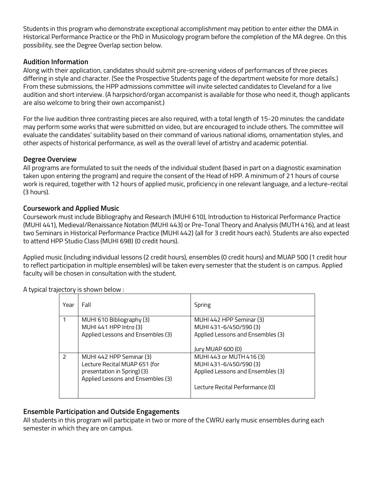Students in this program who demonstrate exceptional accomplishment may petition to enter either the DMA in Historical Performance Practice or the PhD in Musicology program before the completion of the MA degree. On this possibility, see the Degree Overlap section below.

## **Audition Information**

Along with their application, candidates should submit pre-screening videos of performances of three pieces differing in style and character. (See the Prospective Students page of the department website for more details.) From these submissions, the HPP admissions committee will invite selected candidates to Cleveland for a live audition and short interview. (A harpsichord/organ accompanist is available for those who need it, though applicants are also welcome to bring their own accompanist.)

For the live audition three contrasting pieces are also required, with a total length of 15-20 minutes: the candidate may perform some works that were submitted on video, but are encouraged to include others. The committee will evaluate the candidates' suitability based on their command of various national idioms, ornamentation styles, and other aspects of historical performance, as well as the overall level of artistry and academic potential.

## **Degree Overview**

All programs are formulated to suit the needs of the individual student (based in part on a diagnostic examination taken upon entering the program) and require the consent of the Head of HPP. A minimum of 21 hours of course work is required, together with 12 hours of applied music, proficiency in one relevant language, and a lecture-recital (3 hours).

## **Coursework and Applied Music**

Coursework must include Bibliography and Research (MUHI 610), Introduction to Historical Performance Practice (MUHI 441), Medieval/Renaissance Notation (MUHI 443) or Pre-Tonal Theory and Analysis (MUTH 416), and at least two Seminars in Historical Performance Practice (MUHI 442) (all for 3 credit hours each). Students are also expected to attend HPP Studio Class (MUHI 698) (0 credit hours).

Applied music (including individual lessons (2 credit hours), ensembles (0 credit hours) and MUAP 500 (1 credit hour to reflect participation in multiple ensembles) will be taken every semester that the student is on campus. Applied faculty will be chosen in consultation with the student.

| Year          | Fall                                                                                                                          | Spring                                                                                                                                          |
|---------------|-------------------------------------------------------------------------------------------------------------------------------|-------------------------------------------------------------------------------------------------------------------------------------------------|
|               | MUHI 610 Bibliography (3)<br>MUHI 441 HPP Intro (3)<br>Applied Lessons and Ensembles (3)                                      | MUHI 442 HPP Seminar (3)<br>MUHI 431-6/450/590 (3)<br>Applied Lessons and Ensembles (3)                                                         |
| $\mathcal{L}$ | MUHI 442 HPP Seminar (3)<br>Lecture Recital MUAP 651 (for<br>presentation in Spring) (3)<br>Applied Lessons and Ensembles (3) | Jury MUAP 600 (0)<br>MUHI 443 or MUTH 416 (3)<br>MUHI 431-6/450/590 (3)<br>Applied Lessons and Ensembles (3)<br>Lecture Recital Performance (0) |

A typical trajectory is shown below :

## **Ensemble Participation and Outside Engagements**

All students in this program will participate in two or more of the CWRU early music ensembles during each semester in which they are on campus.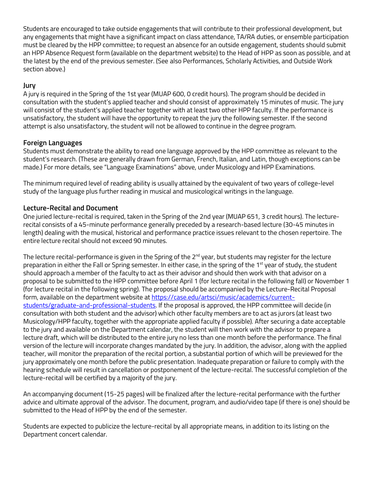Students are encouraged to take outside engagements that will contribute to their professional development, but any engagements that might have a significant impact on class attendance, TA/RA duties, or ensemble participation must be cleared by the HPP committee; to request an absence for an outside engagement, students should submit an HPP Absence Request form (available on the department website) to the Head of HPP as soon as possible, and at the latest by the end of the previous semester. (See also Performances, Scholarly Activities, and Outside Work section above.)

## **Jury**

A jury is required in the Spring of the 1st year (MUAP 600, 0 credit hours). The program should be decided in consultation with the student's applied teacher and should consist of approximately 15 minutes of music. The jury will consist of the student's applied teacher together with at least two other HPP faculty. If the performance is unsatisfactory, the student will have the opportunity to repeat the jury the following semester. If the second attempt is also unsatisfactory, the student will not be allowed to continue in the degree program.

## **Foreign Languages**

Students must demonstrate the ability to read one language approved by the HPP committee as relevant to the student's research. (These are generally drawn from German, French, Italian, and Latin, though exceptions can be made.) For more details, see "Language Examinations" above, under Musicology and HPP Examinations.

The minimum required level of reading ability is usually attained by the equivalent of two years of college-level study of the language plus further reading in musical and musicological writings in the language.

## **Lecture-Recital and Document**

One juried lecture-recital is required, taken in the Spring of the 2nd year (MUAP 651, 3 credit hours). The lecturerecital consists of a 45-minute performance generally preceded by a research-based lecture (30-45 minutes in length) dealing with the musical, historical and performance practice issues relevant to the chosen repertoire. The entire lecture recital should not exceed 90 minutes.

The lecture recital-performance is given in the Spring of the 2<sup>nd</sup> year, but students may register for the lecture preparation in either the Fall or Spring semester. In either case, in the spring of the 1<sup>st</sup> year of study, the student should approach a member of the faculty to act as their advisor and should then work with that advisor on a proposal to be submitted to the HPP committee before April 1 (for lecture recital in the following fall) or November 1 (for lecture recital in the following spring). The proposal should be accompanied by the Lecture-Recital Proposal form, available on the department website at https://case.edu/artsci/music/academics/currentstudents/graduate-and-professional-students. If the proposal is approved, the HPP committee will decide (in consultation with both student and the advisor) which other faculty members are to act as jurors (at least two Musicology/HPP faculty, together with the appropriate applied faculty if possible). After securing a date acceptable to the jury and available on the Department calendar, the student will then work with the advisor to prepare a lecture draft, which will be distributed to the entire jury no less than one month before the performance. The final version of the lecture will incorporate changes mandated by the jury. In addition, the advisor, along with the applied teacher, will monitor the preparation of the recital portion, a substantial portion of which will be previewed for the jury approximately one month before the public presentation. Inadequate preparation or failure to comply with the hearing schedule will result in cancellation or postponement of the lecture-recital. The successful completion of the lecture-recital will be certified by a majority of the jury.

An accompanying document (15-25 pages) will be finalized after the lecture-recital performance with the further advice and ultimate approval of the advisor. The document, program, and audio/video tape (if there is one) should be submitted to the Head of HPP by the end of the semester.

Students are expected to publicize the lecture-recital by all appropriate means, in addition to its listing on the Department concert calendar.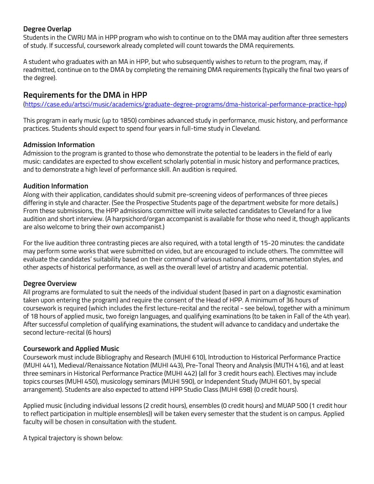## **Degree Overlap**

Students in the CWRU MA in HPP program who wish to continue on to the DMA may audition after three semesters of study. If successful, coursework already completed will count towards the DMA requirements.

A student who graduates with an MA in HPP, but who subsequently wishes to return to the program, may, if readmitted, continue on to the DMA by completing the remaining DMA requirements (typically the final two years of the degree).

## **Requirements for the DMA in HPP**

(https://case.edu/artsci/music/academics/graduate-degree-programs/dma-historical-performance-practice-hpp)

This program in early music (up to 1850) combines advanced study in performance, music history, and performance practices. Students should expect to spend four years in full-time study in Cleveland.

## **Admission Information**

Admission to the program is granted to those who demonstrate the potential to be leaders in the field of early music: candidates are expected to show excellent scholarly potential in music history and performance practices, and to demonstrate a high level of performance skill. An audition is required.

## **Audition Information**

Along with their application, candidates should submit pre-screening videos of performances of three pieces differing in style and character. (See the Prospective Students page of the department website for more details.) From these submissions, the HPP admissions committee will invite selected candidates to Cleveland for a live audition and short interview. (A harpsichord/organ accompanist is available for those who need it, though applicants are also welcome to bring their own accompanist.)

For the live audition three contrasting pieces are also required, with a total length of 15-20 minutes: the candidate may perform some works that were submitted on video, but are encouraged to include others. The committee will evaluate the candidates' suitability based on their command of various national idioms, ornamentation styles, and other aspects of historical performance, as well as the overall level of artistry and academic potential.

## **Degree Overview**

All programs are formulated to suit the needs of the individual student (based in part on a diagnostic examination taken upon entering the program) and require the consent of the Head of HPP. A minimum of 36 hours of coursework is required (which includes the first lecture-recital and the recital - see below), together with a minimum of 18 hours of applied music, two foreign languages, and qualifying examinations (to be taken in Fall of the 4th year). After successful completion of qualifying examinations, the student will advance to candidacy and undertake the second lecture-recital (6 hours)

## **Coursework and Applied Music**

Coursework must include Bibliography and Research (MUHI 610), Introduction to Historical Performance Practice (MUHI 441), Medieval/Renaissance Notation (MUHI 443), Pre-Tonal Theory and Analysis (MUTH 416), and at least three seminars in Historical Performance Practice (MUHI 442) (all for 3 credit hours each). Electives may include topics courses (MUHI 450), musicology seminars (MUHI 590), or Independent Study (MUHI 601, by special arrangement). Students are also expected to attend HPP Studio Class (MUHI 698) (0 credit hours).

Applied music (including individual lessons (2 credit hours), ensembles (0 credit hours) and MUAP 500 (1 credit hour to reflect participation in multiple ensembles)) will be taken every semester that the student is on campus. Applied faculty will be chosen in consultation with the student.

A typical trajectory is shown below: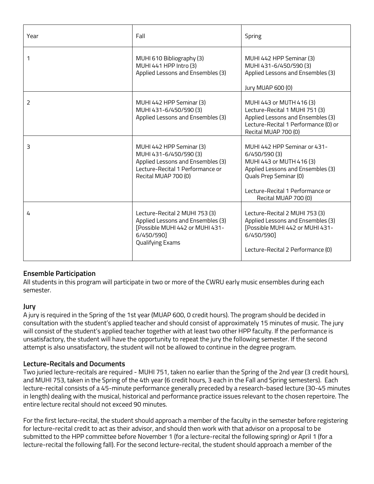| Year | Fall                                                                                                                                                | Spring                                                                                                                                                                                              |
|------|-----------------------------------------------------------------------------------------------------------------------------------------------------|-----------------------------------------------------------------------------------------------------------------------------------------------------------------------------------------------------|
| 1    | MUHI 610 Bibliography (3)<br>MUHI 441 HPP Intro (3)<br>Applied Lessons and Ensembles (3)                                                            | MUHI 442 HPP Seminar (3)<br>MUHI 431-6/450/590 (3)<br>Applied Lessons and Ensembles (3)<br>Jury MUAP 600 (0)                                                                                        |
| 2    | MUHI 442 HPP Seminar (3)<br>MUHI 431-6/450/590 (3)<br>Applied Lessons and Ensembles (3)                                                             | MUHI 443 or MUTH 416 (3)<br>Lecture-Recital 1 MUHI 751 (3)<br>Applied Lessons and Ensembles (3)<br>Lecture-Recital 1 Performance (0) or<br>Recital MUAP 700 (0)                                     |
| 3    | MUHI 442 HPP Seminar (3)<br>MUHI 431-6/450/590 (3)<br>Applied Lessons and Ensembles (3)<br>Lecture-Recital 1 Performance or<br>Recital MUAP 700 (0) | MUHI 442 HPP Seminar or 431-<br>6/450/590(3)<br>MUHI 443 or MUTH 416 (3)<br>Applied Lessons and Ensembles (3)<br>Quals Prep Seminar (0)<br>Lecture-Recital 1 Performance or<br>Recital MUAP 700 (0) |
| 4    | Lecture-Recital 2 MUHI 753 (3)<br>Applied Lessons and Ensembles (3)<br>[Possible MUHI 442 or MUHI 431-<br>6/450/590]<br><b>Qualifying Exams</b>     | Lecture-Recital 2 MUHI 753 (3)<br>Applied Lessons and Ensembles (3)<br>[Possible MUHI 442 or MUHI 431-<br>6/450/590]<br>Lecture-Recital 2 Performance (0)                                           |

## **Ensemble Participation**

All students in this program will participate in two or more of the CWRU early music ensembles during each semester.

## **Jury**

A jury is required in the Spring of the 1st year (MUAP 600, 0 credit hours). The program should be decided in consultation with the student's applied teacher and should consist of approximately 15 minutes of music. The jury will consist of the student's applied teacher together with at least two other HPP faculty. If the performance is unsatisfactory, the student will have the opportunity to repeat the jury the following semester. If the second attempt is also unsatisfactory, the student will not be allowed to continue in the degree program.

## **Lecture-Recitals and Documents**

Two juried lecture-recitals are required - MUHI 751, taken no earlier than the Spring of the 2nd year (3 credit hours), and MUHI 753, taken in the Spring of the 4th year (6 credit hours, 3 each in the Fall and Spring semesters). Each lecture-recital consists of a 45-minute performance generally preceded by a research-based lecture (30-45 minutes in length) dealing with the musical, historical and performance practice issues relevant to the chosen repertoire. The entire lecture recital should not exceed 90 minutes.

For the first lecture-recital, the student should approach a member of the faculty in the semester before registering for lecture-recital credit to act as their advisor, and should then work with that advisor on a proposal to be submitted to the HPP committee before November 1 (for a lecture-recital the following spring) or April 1 (for a lecture-recital the following fall). For the second lecture-recital, the student should approach a member of the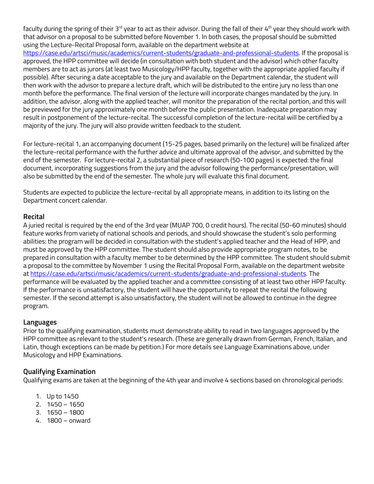faculty during the spring of their  $3^{rd}$  year to act as their advisor. During the fall of their  $4^{th}$  year they should work with that advisor on a proposal to be submitted before November 1. In both cases, the proposal should be submitted using the Lecture-Recital Proposal form, available on the department website at

https://case.edu/artsci/music/academics/current-students/graduate-and-professional-students. If the proposal is approved, the HPP committee will decide (in consultation with both student and the advisor) which other faculty members are to act as jurors (at least two Musicology/HPP faculty, together with the appropriate applied faculty if possible). After securing a date acceptable to the jury and available on the Department calendar, the student will then work with the advisor to prepare a lecture draft, which will be distributed to the entire jury no less than one month before the performance. The final version of the lecture will incorporate changes mandated by the jury. In addition, the advisor, along with the applied teacher, will monitor the preparation of the recital portion, and this will be previewed for the jury approximately one month before the public presentation. Inadequate preparation may result in postponement of the lecture-recital. The successful completion of the lecture-recital will be certified by a majority of the jury. The jury will also provide written feedback to the student.

For lecture-recital 1, an accompanying document (15-25 pages, based primarily on the lecture) will be finalized after the lecture-recital performance with the further advice and ultimate approval of the advisor, and submitted by the end of the semester. For lecture-recital 2, a substantial piece of research (50-100 pages) is expected: the final document, incorporating suggestions from the jury and the advisor following the performance/presentation, will also be submitted by the end of the semester. The whole jury will evaluate this final document.

Students are expected to publicize the lecture-recital by all appropriate means, in addition to its listing on the Department concert calendar.

## **Recital**

A juried recital is required by the end of the 3rd year (MUAP 700, 0 credit hours). The recital (50-60 minutes) should feature works from variety of national schools and periods, and should showcase the student's solo performing abilities: the program will be decided in consultation with the student's applied teacher and the Head of HPP, and must be approved by the HPP committee. The student should also provide appropriate program notes, to be prepared in consultation with a faculty member to be determined by the HPP committee. The student should submit a proposal to the committee by November 1 using the Recital Proposal Form, available on the department website at https://case.edu/artsci/music/academics/current-students/graduate-and-professional-students. The performance will be evaluated by the applied teacher and a committee consisting of at least two other HPP faculty. If the performance is unsatisfactory, the student will have the opportunity to repeat the recital the following semester. If the second attempt is also unsatisfactory, the student will not be allowed to continue in the degree program.

## **Languages**

Prior to the qualifying examination, students must demonstrate ability to read in two languages approved by the HPP committee as relevant to the student's research. (These are generally drawn from German, French, Italian, and Latin, though exceptions can be made by petition.) For more details see Language Examinations above, under Musicology and HPP Examinations.

## **Qualifying Examination**

Qualifying exams are taken at the beginning of the 4th year and involve 4 sections based on chronological periods:

- 1. Up to 1450
- 2. 1450 1650
- 3. 1650 1800
- 4. 1800 onward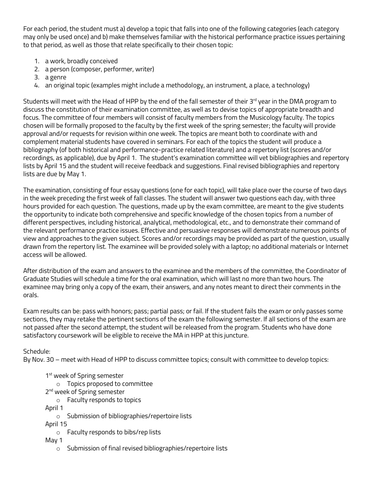For each period, the student must a) develop a topic that falls into one of the following categories (each category may only be used once) and b) make themselves familiar with the historical performance practice issues pertaining to that period, as well as those that relate specifically to their chosen topic:

- 1. a work, broadly conceived
- 2. a person (composer, performer, writer)
- 3. a genre
- 4. an original topic (examples might include a methodology, an instrument, a place, a technology)

Students will meet with the Head of HPP by the end of the fall semester of their  $3^{rd}$  year in the DMA program to discuss the constitution of their examination committee, as well as to devise topics of appropriate breadth and focus. The committee of four members will consist of faculty members from the Musicology faculty. The topics chosen will be formally proposed to the faculty by the first week of the spring semester; the faculty will provide approval and/or requests for revision within one week. The topics are meant both to coordinate with and complement material students have covered in seminars. For each of the topics the student will produce a bibliography (of both historical and performance-practice related literature) and a repertory list (scores and/or recordings, as applicable), due by April 1. The student's examination committee will vet bibliographies and repertory lists by April 15 and the student will receive feedback and suggestions. Final revised bibliographies and repertory lists are due by May 1.

The examination, consisting of four essay questions (one for each topic), will take place over the course of two days in the week preceding the first week of fall classes. The student will answer two questions each day, with three hours provided for each question. The questions, made up by the exam committee, are meant to the give students the opportunity to indicate both comprehensive and specific knowledge of the chosen topics from a number of different perspectives, including historical, analytical, methodological, etc., and to demonstrate their command of the relevant performance practice issues. Effective and persuasive responses will demonstrate numerous points of view and approaches to the given subject. Scores and/or recordings may be provided as part of the question, usually drawn from the repertory list. The examinee will be provided solely with a laptop; no additional materials or Internet access will be allowed.

After distribution of the exam and answers to the examinee and the members of the committee, the Coordinator of Graduate Studies will schedule a time for the oral examination, which will last no more than two hours. The examinee may bring only a copy of the exam, their answers, and any notes meant to direct their comments in the orals.

Exam results can be: pass with honors; pass; partial pass; or fail. If the student fails the exam or only passes some sections, they may retake the pertinent sections of the exam the following semester. If all sections of the exam are not passed after the second attempt, the student will be released from the program. Students who have done satisfactory coursework will be eligible to receive the MA in HPP at this juncture.

## Schedule:

By Nov. 30 – meet with Head of HPP to discuss committee topics; consult with committee to develop topics:

- 1<sup>st</sup> week of Spring semester
	- o Topics proposed to committee
- 2<sup>nd</sup> week of Spring semester
	- o Faculty responds to topics

April 1

o Submission of bibliographies/repertoire lists

April 15

o Faculty responds to bibs/rep lists

May 1

o Submission of final revised bibliographies/repertoire lists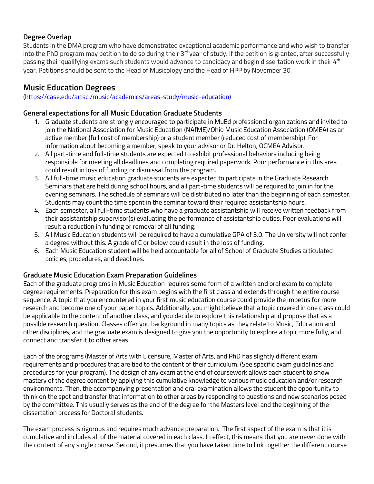## **Degree Overlap**

Students in the DMA program who have demonstrated exceptional academic performance and who wish to transfer into the PhD program may petition to do so during their 3<sup>rd</sup> year of study. If the petition is granted, after successfully passing their qualifying exams such students would advance to candidacy and begin dissertation work in their 4th year. Petitions should be sent to the Head of Musicology and the Head of HPP by November 30. 

## **Music Education Degrees**

(https://case.edu/artsci/music/academics/areas-study/music-education)

## **General expectations for all Music Education Graduate Students**

- 1. Graduate students are strongly encouraged to participate in MuEd professional organizations and invited to join the National Association for Music Education (NAfME)/Ohio Music Education Association (OMEA) as an active member (full cost of membership) or a student member (reduced cost of membership). For information about becoming a member, speak to your advisor or Dr. Helton, OCMEA Advisor.
- 2. All part-time and full-time students are expected to exhibit professional behaviors including being responsible for meeting all deadlines and completing required paperwork. Poor performance in this area could result in loss of funding or dismissal from the program.
- 3. All full-time music education graduate students are expected to participate in the Graduate Research Seminars that are held during school hours, and all part-time students will be required to join in for the evening seminars. The schedule of seminars will be distributed no later than the beginning of each semester. Students may count the time spent in the seminar toward their required assistantship hours.
- 4. Each semester, all full-time students who have a graduate assistantship will receive written feedback from their assistantship supervisor(s) evaluating the performance of assistantship duties. Poor evaluations will result a reduction in funding or removal of all funding.
- 5. All Music Education students will be required to have a cumulative GPA of 3.0. The University will not confer a degree without this. A grade of C or below could result in the loss of funding.
- 6. Each Music Education student will be held accountable for all of School of Graduate Studies articulated policies, procedures, and deadlines.

## **Graduate Music Education Exam Preparation Guidelines**

Each of the graduate programs in Music Education requires some form of a written and oral exam to complete degree requirements. Preparation for this exam begins with the first class and extends through the entire course sequence. A topic that you encountered in your first music education course could provide the impetus for more research and become one of your paper topics. Additionally, you might believe that a topic covered in one class could be applicable to the content of another class, and you decide to explore this relationship and propose that as a possible research question. Classes offer you background in many topics as they relate to Music, Education and other disciplines, and the graduate exam is designed to give you the opportunity to explore a topic more fully, and connect and transfer it to other areas.

Each of the programs (Master of Arts with Licensure, Master of Arts, and PhD has slightly different exam requirements and procedures that are tied to the content of their curriculum. (See specific exam guidelines and procedures for your program). The design of any exam at the end of coursework allows each student to show mastery of the degree content by applying this cumulative knowledge to various music education and/or research environments. Then, the accompanying presentation and oral examination allows the student the opportunity to think on the spot and transfer that information to other areas by responding to questions and new scenarios posed by the committee. This usually serves as the end of the degree for the Masters level and the beginning of the dissertation process for Doctoral students.

The exam process is rigorous and requires much advance preparation. The first aspect of the exam is that it is cumulative and includes all of the material covered in each class. In effect, this means that you are never done with the content of any single course. Second, it presumes that you have taken time to link together the different course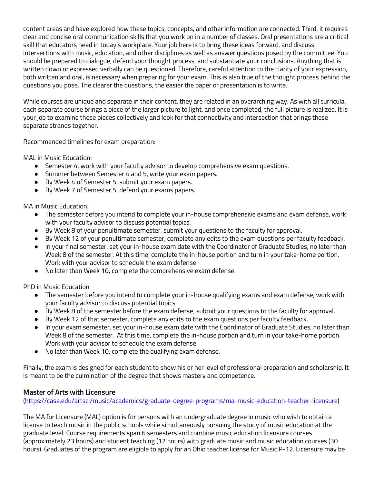content areas and have explored how these topics, concepts, and other information are connected. Third, it requires clear and concise oral communication skills that you work on in a number of classes. Oral presentations are a critical skill that educators need in today's workplace. Your job here is to bring these ideas forward, and discuss intersections with music, education, and other disciplines as well as answer questions posed by the committee. You should be prepared to dialogue, defend your thought process, and substantiate your conclusions. Anything that is written down or expressed verbally can be questioned. Therefore, careful attention to the clarity of your expression, both written and oral, is necessary when preparing for your exam. This is also true of the thought process behind the questions you pose. The clearer the questions, the easier the paper or presentation is to write.

While courses are unique and separate in their content, they are related in an overarching way. As with all curricula, each separate course brings a piece of the larger picture to light, and once completed, the full picture is realized. It is your job to examine these pieces collectively and look for that connectivity and intersection that brings these separate strands together.

Recommended timelines for exam preparation:

MAL in Music Education:

- Semester 4, work with your faculty advisor to develop comprehensive exam questions.
- Summer between Semester 4 and 5, write your exam papers.
- By Week 4 of Semester 5, submit your exam papers.
- By Week 7 of Semester 5, defend your exams papers.

MA in Music Education:

- The semester before you intend to complete your in-house comprehensive exams and exam defense, work with your faculty advisor to discuss potential topics.
- By Week 8 of your penultimate semester, submit your questions to the faculty for approval.
- By Week 12 of your penultimate semester, complete any edits to the exam questions per faculty feedback.
- In your final semester, set your in-house exam date with the Coordinator of Graduate Studies, no later than Week 8 of the semester. At this time, complete the in-house portion and turn in your take-home portion. Work with your advisor to schedule the exam defense.
- No later than Week 10, complete the comprehensive exam defense.

PhD in Music Education

- The semester before you intend to complete your in-house qualifying exams and exam defense, work with your faculty advisor to discuss potential topics.
- By Week 8 of the semester before the exam defense, submit your questions to the faculty for approval.
- By Week 12 of that semester, complete any edits to the exam questions per faculty feedback.
- In your exam semester, set your in-house exam date with the Coordinator of Graduate Studies, no later than Week 8 of the semester. At this time, complete the in-house portion and turn in your take-home portion. Work with your advisor to schedule the exam defense.
- No later than Week 10, complete the qualifying exam defense.

Finally, the exam is designed for each student to show his or her level of professional preparation and scholarship. It is meant to be the culmination of the degree that shows mastery and competence.

## **Master of Arts with Licensure**

(https://case.edu/artsci/music/academics/graduate-degree-programs/ma-music-education-teacher-licensure)

The MA for Licensure (MAL) option is for persons with an undergraduate degree in music who wish to obtain a license to teach music in the public schools while simultaneously pursuing the study of music education at the graduate level. Course requirements span 6 semesters and combine music education licensure courses (approximately 23 hours) and student teaching (12 hours) with graduate music and music education courses (30 hours). Graduates of the program are eligible to apply for an Ohio teacher license for Music P-12. Licensure may be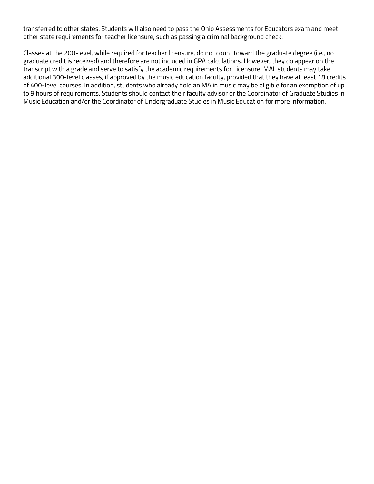transferred to other states. Students will also need to pass the Ohio Assessments for Educators exam and meet other state requirements for teacher licensure, such as passing a criminal background check.

Classes at the 200-level, while required for teacher licensure, do not count toward the graduate degree (i.e., no graduate credit is received) and therefore are not included in GPA calculations. However, they do appear on the transcript with a grade and serve to satisfy the academic requirements for Licensure. MAL students may take additional 300-level classes, if approved by the music education faculty, provided that they have at least 18 credits of 400-level courses. In addition, students who already hold an MA in music may be eligible for an exemption of up to 9 hours of requirements. Students should contact their faculty advisor or the Coordinator of Graduate Studies in Music Education and/or the Coordinator of Undergraduate Studies in Music Education for more information.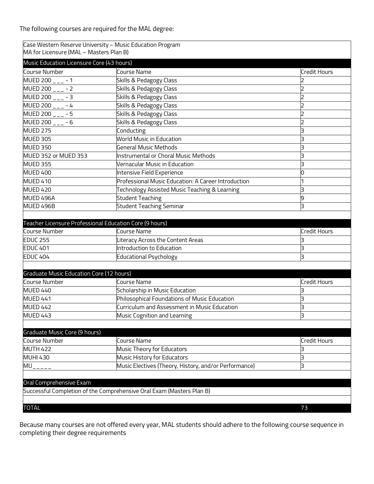Case Western Reserve University ~ Music Education Program MA for Licensure (MAL – Masters Plan B)

| Music Education Licensure Core (43 hours)           |                     |
|-----------------------------------------------------|---------------------|
| Course Name                                         | <b>Credit Hours</b> |
| Skills & Pedagogy Class                             |                     |
| Skills & Pedagogy Class                             |                     |
| Skills & Pedagogy Class                             |                     |
| Skills & Pedagogy Class                             |                     |
| Skills & Pedagogy Class                             |                     |
| Skills & Pedagogy Class                             |                     |
| Conducting                                          |                     |
| <b>World Music in Education</b>                     |                     |
| <b>General Music Methods</b>                        |                     |
| <b>Instrumental or Choral Music Methods</b>         |                     |
| Vernacular Music in Education                       |                     |
| Intensive Field Experience                          |                     |
| Professional Music Education: A Career Introduction |                     |
| Technology Assisted Music Teaching & Learning       |                     |
| <b>Student Teaching</b>                             |                     |
| <b>Student Teaching Seminar</b>                     |                     |
|                                                     |                     |

| Teacher Licensure Professional Education Core (9 hours) |                                   |              |  |  |
|---------------------------------------------------------|-----------------------------------|--------------|--|--|
| Course Number                                           | Course Name                       | Credit Hours |  |  |
| EDUC 255                                                | Literacy Across the Content Areas |              |  |  |
| <b>EDUC 401</b>                                         | Introduction to Education         |              |  |  |
| EDUC 404                                                | Educational Psychology            |              |  |  |

| Graduate Music Education Core (12 hours) |                                              |              |  |  |
|------------------------------------------|----------------------------------------------|--------------|--|--|
| Course Number                            | Course Name                                  | Credit Hours |  |  |
| MUED 440                                 | Scholarship in Music Education               |              |  |  |
| MUED 441                                 | Philosophical Foundations of Music Education |              |  |  |
| MUED 442                                 | Curriculum and Assessment in Music Education |              |  |  |
| <b>MUED 443</b>                          | Music Cognition and Learning                 |              |  |  |

| Graduate Music Core (9 hours) |                                                       |              |
|-------------------------------|-------------------------------------------------------|--------------|
| Course Number                 | Course Name                                           | Credit Hours |
| <b>MUTH 422</b>               | Music Theory for Educators                            |              |
| <b>MUHI 430</b>               | Music History for Educators                           |              |
| MU                            | Music Electives (Theory, History, and/or Performance) |              |

## Oral Comprehensive Exam

Successful Completion of the Comprehensive Oral Exam (Masters Plan B)

#### TOTAL 73

Because many courses are not offered every year, MAL students should adhere to the following course sequence in completing their degree requirements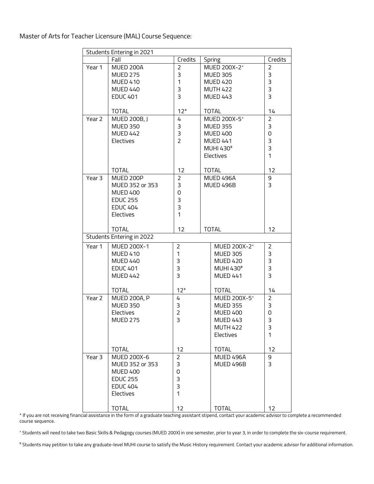Master of Arts for Teacher Licensure (MAL) Course Sequence:

| Students Entering in 2021 |                                           |                |                          |                |  |
|---------------------------|-------------------------------------------|----------------|--------------------------|----------------|--|
|                           | Fall                                      | Credits        | <b>Spring</b>            | Credits        |  |
| Year 1                    | MUED 200A                                 | 2              | MUED 200X-2+             | 2              |  |
|                           | <b>MUED 275</b>                           | 3              | <b>MUED 305</b>          | 3              |  |
|                           | <b>MUED 410</b>                           | $\mathbf{1}$   | <b>MUED 420</b>          | 3              |  |
|                           | <b>MUED 440</b>                           | 3              | <b>MUTH 422</b>          | 3              |  |
|                           | <b>EDUC 401</b>                           | $\overline{3}$ | <b>MUED 443</b>          | $\overline{3}$ |  |
|                           |                                           |                |                          |                |  |
|                           | <b>TOTAL</b>                              | $12*$          | <b>TOTAL</b>             | 14             |  |
| Year 2                    | MUED 200B, J                              | 4              | MUED 200X-5 <sup>+</sup> | 2              |  |
|                           | <b>MUED 350</b>                           | 3              | <b>MUED 355</b>          | 3              |  |
|                           | <b>MUED 442</b>                           | 3              | <b>MUED 400</b>          | 0              |  |
|                           | Electives                                 | $\overline{2}$ | <b>MUED 441</b>          | 3              |  |
|                           |                                           |                | MUHI 430 <sup>#</sup>    | 3              |  |
|                           |                                           |                | Electives                | $\mathbf{1}$   |  |
|                           |                                           |                |                          |                |  |
|                           | <b>TOTAL</b>                              | 12             | <b>TOTAL</b>             | 12             |  |
| Year 3                    | MUED 200P                                 | $\overline{2}$ | MUED 496A                | 9              |  |
|                           | MUED 352 or 353                           | 3              | MUED 496B                | 3              |  |
|                           | <b>MUED 400</b>                           | 0              |                          |                |  |
|                           | <b>EDUC 255</b>                           | 3              |                          |                |  |
|                           | <b>EDUC 404</b>                           | 3              |                          |                |  |
|                           | Electives                                 | 1              |                          |                |  |
|                           |                                           |                |                          |                |  |
|                           | <b>TOTAL</b><br>Students Entering in 2022 | 12             | <b>TOTAL</b>             | 12             |  |
|                           |                                           |                |                          |                |  |
| Year 1                    | MUED 200X-1                               | $\overline{2}$ | MUED 200X-2+             | $\overline{2}$ |  |
|                           | <b>MUED 410</b>                           | $\mathbf{1}$   | <b>MUED 305</b>          | 3              |  |
|                           | <b>MUED 440</b>                           | 3              | <b>MUED 420</b>          | 3              |  |
|                           | <b>EDUC 401</b>                           | 3              | MUHI 430 <sup>#</sup>    | 3              |  |
|                           | <b>MUED 442</b>                           | $\overline{3}$ | <b>MUED 441</b>          | $\overline{3}$ |  |
|                           | <b>TOTAL</b>                              | $12*$          | <b>TOTAL</b>             | 14             |  |
| Year <sub>2</sub>         | <b>MUED 200A, P</b>                       | 4              | MUED 200X-5 <sup>+</sup> | 2              |  |
|                           | <b>MUED 350</b>                           | 3              | <b>MUED 355</b>          | 3              |  |
|                           | Electives                                 | $\overline{2}$ | <b>MUED 400</b>          | 0              |  |
|                           | MUFD <sub>275</sub>                       | $\overline{3}$ | MUFD 443                 | $\overline{3}$ |  |
|                           |                                           |                | <b>MUTH 422</b>          | 3              |  |
|                           |                                           |                | Electives                | 1              |  |
|                           |                                           |                |                          |                |  |
|                           | <b>TOTAL</b>                              | 12             | <b>TOTAL</b>             | 12             |  |
| Year <sub>3</sub>         | MUED 200X-6                               | 2              | MUED 496A                | 9              |  |
|                           | MUED 352 or 353                           | 3              | <b>MUED 496B</b>         | 3              |  |
|                           | <b>MUED 400</b>                           | 0              |                          |                |  |
|                           | <b>EDUC 255</b>                           | 3              |                          |                |  |
|                           | <b>EDUC 404</b>                           | 3              |                          |                |  |
|                           | Electives                                 | 1              |                          |                |  |
|                           |                                           |                |                          |                |  |
|                           | <b>TOTAL</b>                              | 12             | <b>TOTAL</b>             | 12             |  |

\* If you are not receiving financial assistance in the form of a graduate teaching assistant stipend, contact your academic advisor to complete a recommended course sequence.

<sup>+</sup> Students will need to take two Basic Skills & Pedagogy courses (MUED 200X) in one semester, prior to year 3, in order to complete the six-course requirement.

# Students may petition to take any graduate-level MUHI course to satisfy the Music History requirement. Contact your academic advisor for additional information.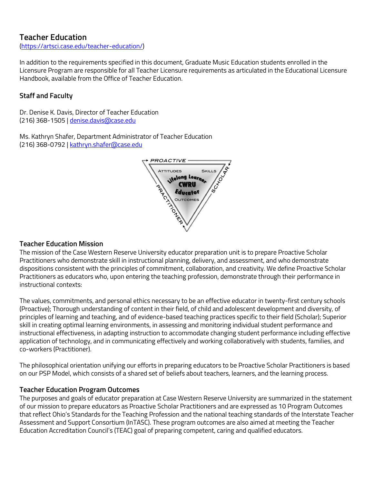## **Teacher Education**

(https://artsci.case.edu/teacher-education/)

In addition to the requirements specified in this document, Graduate Music Education students enrolled in the Licensure Program are responsible for all Teacher Licensure requirements as articulated in the Educational Licensure Handbook, available from the Office of Teacher Education.

## **Staff and Faculty**

Dr. Denise K. Davis, Director of Teacher Education (216) 368-1505 | denise.davis@case.edu

Ms. Kathryn Shafer, Department Administrator of Teacher Education (216) 368-0792 | kathryn.shafer@case.edu



## **Teacher Education Mission**

The mission of the Case Western Reserve University educator preparation unit is to prepare Proactive Scholar Practitioners who demonstrate skill in instructional planning, delivery, and assessment, and who demonstrate dispositions consistent with the principles of commitment, collaboration, and creativity. We define Proactive Scholar Practitioners as educators who, upon entering the teaching profession, demonstrate through their performance in instructional contexts:

The values, commitments, and personal ethics necessary to be an effective educator in twenty-first century schools (Proactive); Thorough understanding of content in their field, of child and adolescent development and diversity, of principles of learning and teaching, and of evidence-based teaching practices specific to their field (Scholar); Superior skill in creating optimal learning environments, in assessing and monitoring individual student performance and instructional effectiveness, in adapting instruction to accommodate changing student performance including effective application of technology, and in communicating effectively and working collaboratively with students, families, and co-workers (Practitioner).

The philosophical orientation unifying our efforts in preparing educators to be Proactive Scholar Practitioners is based on our PSP Model, which consists of a shared set of beliefs about teachers, learners, and the learning process.

## **Teacher Education Program Outcomes**

The purposes and goals of educator preparation at Case Western Reserve University are summarized in the statement of our mission to prepare educators as Proactive Scholar Practitioners and are expressed as 10 Program Outcomes that reflect Ohio's Standards for the Teaching Profession and the national teaching standards of the Interstate Teacher Assessment and Support Consortium (InTASC). These program outcomes are also aimed at meeting the Teacher Education Accreditation Council's (TEAC) goal of preparing competent, caring and qualified educators.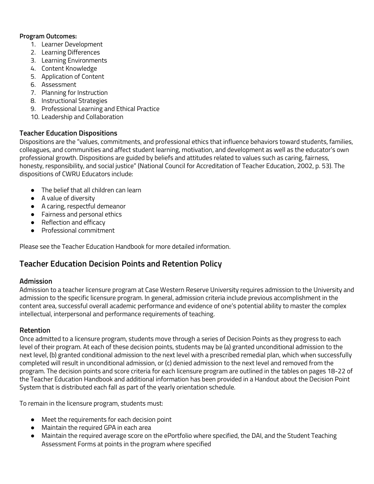#### **Program Outcomes:**

- 1. Learner Development
- 2. Learning Differences
- 3. Learning Environments
- 4. Content Knowledge
- 5. Application of Content
- 6. Assessment
- 7. Planning for Instruction
- 8. Instructional Strategies
- 9. Professional Learning and Ethical Practice
- 10. Leadership and Collaboration

## **Teacher Education Dispositions**

Dispositions are the "values, commitments, and professional ethics that influence behaviors toward students, families, colleagues, and communities and affect student learning, motivation, and development as well as the educator's own professional growth. Dispositions are guided by beliefs and attitudes related to values such as caring, fairness, honesty, responsibility, and social justice" (National Council for Accreditation of Teacher Education, 2002, p. 53). The dispositions of CWRU Educators include:

- The belief that all children can learn
- A value of diversity
- A caring, respectful demeanor
- Fairness and personal ethics
- Reflection and efficacy
- Professional commitment

Please see the Teacher Education Handbook for more detailed information.

## **Teacher Education Decision Points and Retention Policy**

## **Admission**

Admission to a teacher licensure program at Case Western Reserve University requires admission to the University and admission to the specific licensure program. In general, admission criteria include previous accomplishment in the content area, successful overall academic performance and evidence of one's potential ability to master the complex intellectual, interpersonal and performance requirements of teaching.

## **Retention**

Once admitted to a licensure program, students move through a series of Decision Points as they progress to each level of their program. At each of these decision points, students may be (a) granted unconditional admission to the next level, (b) granted conditional admission to the next level with a prescribed remedial plan, which when successfully completed will result in unconditional admission, or (c) denied admission to the next level and removed from the program. The decision points and score criteria for each licensure program are outlined in the tables on pages 18-22 of the Teacher Education Handbook and additional information has been provided in a Handout about the Decision Point System that is distributed each fall as part of the yearly orientation schedule.

To remain in the licensure program, students must:

- Meet the requirements for each decision point
- Maintain the required GPA in each area
- Maintain the required average score on the ePortfolio where specified, the DAI, and the Student Teaching Assessment Forms at points in the program where specified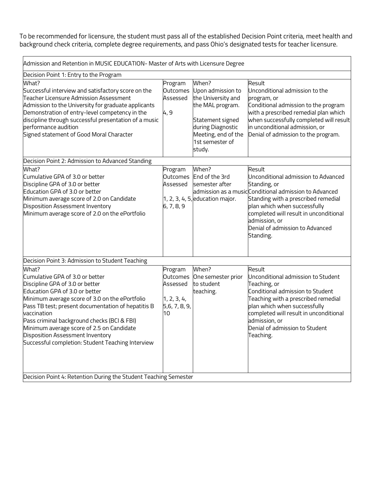To be recommended for licensure, the student must pass all of the established Decision Point criteria, meet health and background check criteria, complete degree requirements, and pass Ohio's designated tests for teacher licensure.

| Admission and Retention in MUSIC EDUCATION- Master of Arts with Licensure Degree                                                                                                                                                                                                                                                                                                                                          |                                                                       |                                                                                                                                                                   |                                                                                                                                                                                                                                                                                                          |  |  |
|---------------------------------------------------------------------------------------------------------------------------------------------------------------------------------------------------------------------------------------------------------------------------------------------------------------------------------------------------------------------------------------------------------------------------|-----------------------------------------------------------------------|-------------------------------------------------------------------------------------------------------------------------------------------------------------------|----------------------------------------------------------------------------------------------------------------------------------------------------------------------------------------------------------------------------------------------------------------------------------------------------------|--|--|
| Decision Point 1: Entry to the Program                                                                                                                                                                                                                                                                                                                                                                                    |                                                                       |                                                                                                                                                                   |                                                                                                                                                                                                                                                                                                          |  |  |
| What?<br>Successful interview and satisfactory score on the<br><b>Teacher Licensure Admission Assessment</b><br>Admission to the University for graduate applicants<br>Demonstration of entry-level competency in the<br>discipline through successful presentation of a music<br>performance audition<br>Signed statement of Good Moral Character                                                                        | Program<br>Outcomes<br>Assessed<br>4,9                                | When?<br>Upon admission to<br>the University and<br>the MAL program.<br>Statement signed<br>during Diagnostic<br>Meeting, end of the<br>1st semester of<br>study. | Result<br>Unconditional admission to the<br>program, or<br>Conditional admission to the program<br>with a prescribed remedial plan which<br>when successfully completed will result<br>in unconditional admission, or<br>Denial of admission to the program.                                             |  |  |
| Decision Point 2: Admission to Advanced Standing                                                                                                                                                                                                                                                                                                                                                                          |                                                                       |                                                                                                                                                                   |                                                                                                                                                                                                                                                                                                          |  |  |
| What?<br>Cumulative GPA of 3.0 or better<br>Discipline GPA of 3.0 or better<br>Education GPA of 3.0 or better<br>Minimum average score of 2.0 on Candidate<br>Disposition Assessment Inventory<br>Minimum average score of 2.0 on the ePortfolio                                                                                                                                                                          | Program<br><b>Outcomes</b><br>Assessed<br>6, 7, 8, 9                  | When?<br>End of the 3rd<br>semester after<br>$1, 2, 3, 4, 5$ , education major.                                                                                   | Result<br>Unconditional admission to Advanced<br>Standing, or<br>admission as a musicConditional admission to Advanced<br>Standing with a prescribed remedial<br>plan which when successfully<br>completed will result in unconditional<br>admission, or<br>Denial of admission to Advanced<br>Standing. |  |  |
| Decision Point 3: Admission to Student Teaching                                                                                                                                                                                                                                                                                                                                                                           |                                                                       |                                                                                                                                                                   |                                                                                                                                                                                                                                                                                                          |  |  |
| What?<br>Cumulative GPA of 3.0 or better<br>Discipline GPA of 3.0 or better<br>Education GPA of 3.0 or better<br>Minimum average score of 3.0 on the ePortfolio<br>Pass TB test; present documentation of hepatitis B<br>vaccination<br>Pass criminal background checks (BCI & FBI)<br>Minimum average score of 2.5 on Candidate<br>Disposition Assessment Inventory<br>Successful completion: Student Teaching Interview | Program<br>Outcomes<br>Assessed<br>1, 2, 3, 4,<br>5,6, 7, 8, 9,<br>10 | When?<br>One semester prior<br>to student<br>teaching.                                                                                                            | Result<br>Unconditional admission to Student<br>Teaching, or<br>Conditional admission to Student<br>Teaching with a prescribed remedial<br>plan which when successfully<br>completed will result in unconditional<br>admission, or<br>Denial of admission to Student<br>Teaching.                        |  |  |
| Decision Point 4: Retention During the Student Teaching Semester                                                                                                                                                                                                                                                                                                                                                          |                                                                       |                                                                                                                                                                   |                                                                                                                                                                                                                                                                                                          |  |  |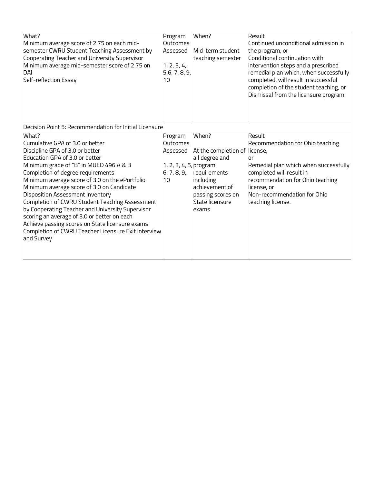| What?<br>Minimum average score of 2.75 on each mid-<br>semester CWRU Student Teaching Assessment by<br>Cooperating Teacher and University Supervisor<br>Minimum average mid-semester score of 2.75 on<br>DAI<br>Self-reflection Essay                                                                                                                                                                                                                                                                                                                                                                        | Program<br><b>Outcomes</b><br>Assessed<br>1, 2, 3, 4,<br>5,6, 7, 8, 9,<br>10   | When?<br>Mid-term student<br>teaching semester                                                                                                           | Result<br>Continued unconditional admission in<br>the program, or<br>Conditional continuation with<br>intervention steps and a prescribed<br>remedial plan which, when successfully<br>completed, will result in successful<br>completion of the student teaching, or<br>Dismissal from the licensure program |
|--------------------------------------------------------------------------------------------------------------------------------------------------------------------------------------------------------------------------------------------------------------------------------------------------------------------------------------------------------------------------------------------------------------------------------------------------------------------------------------------------------------------------------------------------------------------------------------------------------------|--------------------------------------------------------------------------------|----------------------------------------------------------------------------------------------------------------------------------------------------------|---------------------------------------------------------------------------------------------------------------------------------------------------------------------------------------------------------------------------------------------------------------------------------------------------------------|
| Decision Point 5: Recommendation for Initial Licensure                                                                                                                                                                                                                                                                                                                                                                                                                                                                                                                                                       |                                                                                |                                                                                                                                                          |                                                                                                                                                                                                                                                                                                               |
| What?<br>Cumulative GPA of 3.0 or better<br>Discipline GPA of 3.0 or better<br>Education GPA of 3.0 or better<br>Minimum grade of "B" in MUED 496 A & B<br>Completion of degree requirements<br>Minimum average score of 3.0 on the ePortfolio<br>Minimum average score of 3.0 on Candidate<br>Disposition Assessment Inventory<br>Completion of CWRU Student Teaching Assessment<br>by Cooperating Teacher and University Supervisor<br>scoring an average of 3.0 or better on each<br>Achieve passing scores on State licensure exams<br>Completion of CWRU Teacher Licensure Exit Interview<br>and Survey | Program<br>Outcomes<br>Assessed<br>1, 2, 3, 4, 5, program<br>6, 7, 8, 9,<br>10 | When?<br>At the completion of license,<br>all degree and<br>requirements<br>including<br>achievement of<br>passing scores on<br>State licensure<br>exams | Result<br>Recommendation for Ohio teaching<br>or<br>Remedial plan which when successfully<br>completed will result in<br>recommendation for Ohio teaching<br>license, or<br>Non-recommendation for Ohio<br>teaching license.                                                                                  |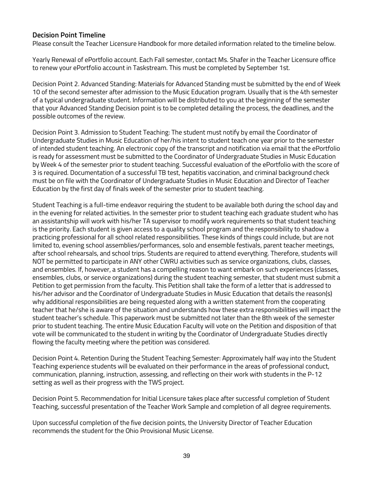#### **Decision Point Timeline**

Please consult the Teacher Licensure Handbook for more detailed information related to the timeline below.

Yearly Renewal of ePortfolio account. Each Fall semester, contact Ms. Shafer in the Teacher Licensure office to renew your ePortfolio account in Taskstream. This must be completed by September 1st.

Decision Point 2. Advanced Standing: Materials for Advanced Standing must be submitted by the end of Week 10 of the second semester after admission to the Music Education program. Usually that is the 4th semester of a typical undergraduate student. Information will be distributed to you at the beginning of the semester that your Advanced Standing Decision point is to be completed detailing the process, the deadlines, and the possible outcomes of the review.

Decision Point 3. Admission to Student Teaching: The student must notify by email the Coordinator of Undergraduate Studies in Music Education of her/his intent to student teach one year prior to the semester of intended student teaching. An electronic copy of the transcript and notification via email that the ePortfolio is ready for assessment must be submitted to the Coordinator of Undergraduate Studies in Music Education by Week 4 of the semester prior to student teaching. Successful evaluation of the ePortfolio with the score of 3 is required. Documentation of a successful TB test, hepatitis vaccination, and criminal background check must be on file with the Coordinator of Undergraduate Studies in Music Education and Director of Teacher Education by the first day of finals week of the semester prior to student teaching.

Student Teaching is a full-time endeavor requiring the student to be available both during the school day and in the evening for related activities. In the semester prior to student teaching each graduate student who has an assistantship will work with his/her TA supervisor to modify work requirements so that student teaching is the priority. Each student is given access to a quality school program and the responsibility to shadow a practicing professional for all school related responsibilities. These kinds of things could include, but are not limited to, evening school assemblies/performances, solo and ensemble festivals, parent teacher meetings, after school rehearsals, and school trips. Students are required to attend everything. Therefore, students will NOT be permitted to participate in ANY other CWRU activities such as service organizations, clubs, classes, and ensembles. If, however, a student has a compelling reason to want embark on such experiences (classes, ensembles, clubs, or service organizations) during the student teaching semester, that student must submit a Petition to get permission from the faculty. This Petition shall take the form of a letter that is addressed to his/her advisor and the Coordinator of Undergraduate Studies in Music Education that details the reason(s) why additional responsibilities are being requested along with a written statement from the cooperating teacher that he/she is aware of the situation and understands how these extra responsibilities will impact the student teacher's schedule. This paperwork must be submitted not later than the 8th week of the semester prior to student teaching. The entire Music Education Faculty will vote on the Petition and disposition of that vote will be communicated to the student in writing by the Coordinator of Undergraduate Studies directly flowing the faculty meeting where the petition was considered.

Decision Point 4. Retention During the Student Teaching Semester: Approximately half way into the Student Teaching experience students will be evaluated on their performance in the areas of professional conduct, communication, planning, instruction, assessing, and reflecting on their work with students in the P-12 setting as well as their progress with the TWS project.

Decision Point 5. Recommendation for Initial Licensure takes place after successful completion of Student Teaching, successful presentation of the Teacher Work Sample and completion of all degree requirements.

Upon successful completion of the five decision points, the University Director of Teacher Education recommends the student for the Ohio Provisional Music License.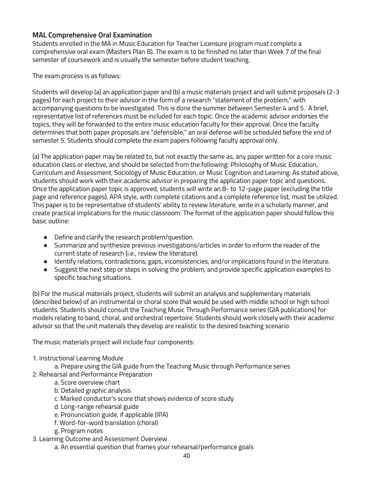## **MAL Comprehensive Oral Examination**

Students enrolled in the MA in Music Education for Teacher Licensure program must complete a comprehensive oral exam (Masters Plan B). The exam is to be finished no later than Week 7 of the final semester of coursework and is usually the semester before student teaching.

The exam process is as follows:

Students will develop (a) an application paper and (b) a music materials project and will submit proposals (2-3 pages) for each project to their advisor in the form of a research "statement of the problem," with accompanying questions to be investigated. This is done the summer between Semester 4 and 5. A brief, representative list of references must be included for each topic. Once the academic advisor endorses the topics, they will be forwarded to the entire music education faculty for their approval. Once the faculty determines that both paper proposals are "defensible," an oral defense will be scheduled before the end of semester 5. Students should complete the exam papers following faculty approval only.

(a) The application paper may be related to, but not exactly the same as, any paper written for a core music education class or elective, and should be selected from the following: Philosophy of Music Education, Curriculum and Assessment, Sociology of Music Education, or Music Cognition and Learning. As stated above, students should work with their academic advisor in preparing the application paper topic and questions. Once the application paper topic is approved, students will write an 8- to 12-page paper (excluding the title page and reference pages). APA style, with complete citations and a complete reference list, must be utilized. This paper is to be representative of students' ability to review literature, write in a scholarly manner, and create practical implications for the music classroom. The format of the application paper should follow this basic outline:

- Define and clarify the research problem/question.
- Summarize and synthesize previous investigations/articles in order to inform the reader of the current state of research (i.e., review the literature).
- Identify relations, contradictions, gaps, inconsistencies, and/or implications found in the literature.
- Suggest the next step or steps in solving the problem, and provide specific application examples to specific teaching situations.

(b) For the musical materials project, students will submit an analysis and supplementary materials (described below) of an instrumental or choral score that would be used with middle school or high school students. Students should consult the Teaching Music Through Performance series (GIA publications) for models relating to band, choral, and orchestral repertoire. Students should work closely with their academic advisor so that the unit materials they develop are realistic to the desired teaching scenario.

The music materials project will include four components:

1. Instructional Learning Module

a. Prepare using the GIA guide from the Teaching Music through Performance series

- 2. Rehearsal and Performance Preparation
	- a. Score overview chart
	- b. Detailed graphic analysis
	- c. Marked conductor's score that shows evidence of score study
	- d. Long-range rehearsal guide
	- e. Pronunciation guide, if applicable (IPA)
	- f. Word-for-word translation (choral)
	- g. Program notes
- 3. Learning Outcome and Assessment Overview

a. An essential question that frames your rehearsal/performance goals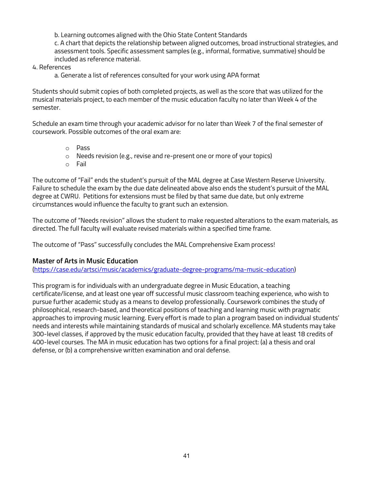b. Learning outcomes aligned with the Ohio State Content Standards

c. A chart that depicts the relationship between aligned outcomes, broad instructional strategies, and assessment tools. Specific assessment samples (e.g., informal, formative, summative) should be included as reference material.

#### 4. References

a. Generate a list of references consulted for your work using APA format

Students should submit copies of both completed projects, as well as the score that was utilized for the musical materials project, to each member of the music education faculty no later than Week 4 of the semester.

Schedule an exam time through your academic advisor for no later than Week 7 of the final semester of coursework. Possible outcomes of the oral exam are:

- o Pass
- o Needs revision (e.g., revise and re-present one or more of your topics)
- o Fail

The outcome of "Fail" ends the student's pursuit of the MAL degree at Case Western Reserve University. Failure to schedule the exam by the due date delineated above also ends the student's pursuit of the MAL degree at CWRU. Petitions for extensions must be filed by that same due date, but only extreme circumstances would influence the faculty to grant such an extension.

The outcome of "Needs revision" allows the student to make requested alterations to the exam materials, as directed. The full faculty will evaluate revised materials within a specified time frame.

The outcome of "Pass" successfully concludes the MAL Comprehensive Exam process!

## **Master of Arts in Music Education**

(https://case.edu/artsci/music/academics/graduate-degree-programs/ma-music-education)

This program is for individuals with an undergraduate degree in Music Education, a teaching certificate/license, and at least one year off successful music classroom teaching experience, who wish to pursue further academic study as a means to develop professionally. Coursework combines the study of philosophical, research-based, and theoretical positions of teaching and learning music with pragmatic approaches to improving music learning. Every effort is made to plan a program based on individual students' needs and interests while maintaining standards of musical and scholarly excellence. MA students may take 300-level classes, if approved by the music education faculty, provided that they have at least 18 credits of 400-level courses. The MA in music education has two options for a final project: (a) a thesis and oral defense, or (b) a comprehensive written examination and oral defense.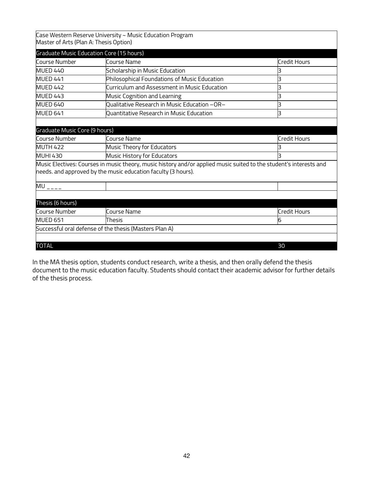| Case Western Reserve University ~ Music Education Program<br>Master of Arts (Plan A: Thesis Option)                                                                                 |                                              |                     |  |  |
|-------------------------------------------------------------------------------------------------------------------------------------------------------------------------------------|----------------------------------------------|---------------------|--|--|
| Graduate Music Education Core (15 hours)                                                                                                                                            |                                              |                     |  |  |
| Course Number                                                                                                                                                                       | Course Name                                  | <b>Credit Hours</b> |  |  |
| MUED 440                                                                                                                                                                            | Scholarship in Music Education               |                     |  |  |
| MUED 441                                                                                                                                                                            | Philosophical Foundations of Music Education | З                   |  |  |
| MUED 442                                                                                                                                                                            | Curriculum and Assessment in Music Education | З                   |  |  |
| MUED 443                                                                                                                                                                            | Music Cognition and Learning                 | B                   |  |  |
| MUFD <sub>640</sub>                                                                                                                                                                 | Qualitative Research in Music Education –OR– | З                   |  |  |
| MUED <sub>641</sub>                                                                                                                                                                 | Quantitative Research in Music Education     | З                   |  |  |
|                                                                                                                                                                                     |                                              |                     |  |  |
| Graduate Music Core (9 hours)                                                                                                                                                       |                                              |                     |  |  |
| Course Number                                                                                                                                                                       | Course Name                                  | <b>Credit Hours</b> |  |  |
| <b>MUTH 422</b>                                                                                                                                                                     | Music Theory for Educators                   |                     |  |  |
| MUHI 430                                                                                                                                                                            | Music History for Educators                  |                     |  |  |
| Music Electives: Courses in music theory, music history and/or applied music suited to the student's interests and<br>heeds. and approved by the music education faculty (3 hours). |                                              |                     |  |  |
| $MU$ <sub>----</sub>                                                                                                                                                                |                                              |                     |  |  |
|                                                                                                                                                                                     |                                              |                     |  |  |
| Thesis (6 hours)                                                                                                                                                                    |                                              |                     |  |  |
| Course Number                                                                                                                                                                       | Course Name                                  | Credit Hours        |  |  |
| MUED 651                                                                                                                                                                            | Thesis                                       | 6                   |  |  |
| Successful oral defense of the thesis (Masters Plan A)                                                                                                                              |                                              |                     |  |  |
|                                                                                                                                                                                     |                                              |                     |  |  |
| <b>TOTAL</b>                                                                                                                                                                        |                                              | 30                  |  |  |

In the MA thesis option, students conduct research, write a thesis, and then orally defend the thesis document to the music education faculty. Students should contact their academic advisor for further details of the thesis process.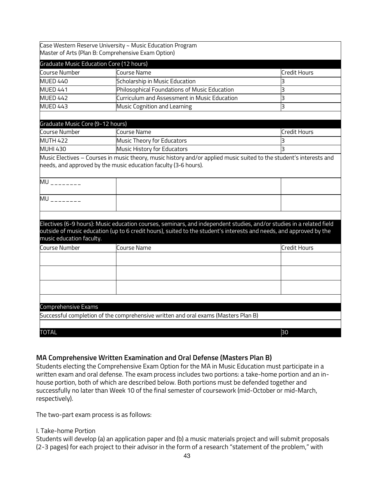| Case Western Reserve University ~ Music Education Program<br>Master of Arts (Plan B: Comprehensive Exam Option)<br>Graduate Music Education Core (12 hours)<br>Course Number<br>Course Name<br><b>Credit Hours</b><br>MUFD 440<br>Scholarship in Music Education<br>3<br>Philosophical Foundations of Music Education<br>MUED 441<br>З<br>Curriculum and Assessment in Music Education<br>З<br>MUED 442<br>MUED 443<br>Music Cognition and Learning<br>3<br>Graduate Music Core (9-12 hours)<br>Course Number<br>Course Name<br><b>Credit Hours</b><br>Music Theory for Educators<br><b>MUTH 422</b><br>З<br><b>MUHI 430</b><br>Music History for Educators<br>В<br>Music Electives – Courses in music theory, music history and/or applied music suited to the student's interests and<br>needs, and approved by the music education faculty (3-6 hours).<br>$MU$ <sub>-------</sub><br>$MU$ _______<br>Electives (6-9 hours): Music education courses, seminars, and independent studies, and/or studies in a related field<br>outside of music education (up to 6 credit hours), suited to the student's interests and needs, and approved by the<br>music education faculty.<br>Course Number<br>Course Name<br><b>Credit Hours</b><br><b>Comprehensive Exams</b><br>(Successful completion of the comprehensive written and oral exams (Masters Plan B)<br><b>TOTAL</b><br>30 |  |  |
|------------------------------------------------------------------------------------------------------------------------------------------------------------------------------------------------------------------------------------------------------------------------------------------------------------------------------------------------------------------------------------------------------------------------------------------------------------------------------------------------------------------------------------------------------------------------------------------------------------------------------------------------------------------------------------------------------------------------------------------------------------------------------------------------------------------------------------------------------------------------------------------------------------------------------------------------------------------------------------------------------------------------------------------------------------------------------------------------------------------------------------------------------------------------------------------------------------------------------------------------------------------------------------------------------------------------------------------------------------------------------------|--|--|
|                                                                                                                                                                                                                                                                                                                                                                                                                                                                                                                                                                                                                                                                                                                                                                                                                                                                                                                                                                                                                                                                                                                                                                                                                                                                                                                                                                                    |  |  |
|                                                                                                                                                                                                                                                                                                                                                                                                                                                                                                                                                                                                                                                                                                                                                                                                                                                                                                                                                                                                                                                                                                                                                                                                                                                                                                                                                                                    |  |  |
|                                                                                                                                                                                                                                                                                                                                                                                                                                                                                                                                                                                                                                                                                                                                                                                                                                                                                                                                                                                                                                                                                                                                                                                                                                                                                                                                                                                    |  |  |
|                                                                                                                                                                                                                                                                                                                                                                                                                                                                                                                                                                                                                                                                                                                                                                                                                                                                                                                                                                                                                                                                                                                                                                                                                                                                                                                                                                                    |  |  |
|                                                                                                                                                                                                                                                                                                                                                                                                                                                                                                                                                                                                                                                                                                                                                                                                                                                                                                                                                                                                                                                                                                                                                                                                                                                                                                                                                                                    |  |  |
|                                                                                                                                                                                                                                                                                                                                                                                                                                                                                                                                                                                                                                                                                                                                                                                                                                                                                                                                                                                                                                                                                                                                                                                                                                                                                                                                                                                    |  |  |
|                                                                                                                                                                                                                                                                                                                                                                                                                                                                                                                                                                                                                                                                                                                                                                                                                                                                                                                                                                                                                                                                                                                                                                                                                                                                                                                                                                                    |  |  |
|                                                                                                                                                                                                                                                                                                                                                                                                                                                                                                                                                                                                                                                                                                                                                                                                                                                                                                                                                                                                                                                                                                                                                                                                                                                                                                                                                                                    |  |  |
|                                                                                                                                                                                                                                                                                                                                                                                                                                                                                                                                                                                                                                                                                                                                                                                                                                                                                                                                                                                                                                                                                                                                                                                                                                                                                                                                                                                    |  |  |
|                                                                                                                                                                                                                                                                                                                                                                                                                                                                                                                                                                                                                                                                                                                                                                                                                                                                                                                                                                                                                                                                                                                                                                                                                                                                                                                                                                                    |  |  |
|                                                                                                                                                                                                                                                                                                                                                                                                                                                                                                                                                                                                                                                                                                                                                                                                                                                                                                                                                                                                                                                                                                                                                                                                                                                                                                                                                                                    |  |  |
|                                                                                                                                                                                                                                                                                                                                                                                                                                                                                                                                                                                                                                                                                                                                                                                                                                                                                                                                                                                                                                                                                                                                                                                                                                                                                                                                                                                    |  |  |
|                                                                                                                                                                                                                                                                                                                                                                                                                                                                                                                                                                                                                                                                                                                                                                                                                                                                                                                                                                                                                                                                                                                                                                                                                                                                                                                                                                                    |  |  |
|                                                                                                                                                                                                                                                                                                                                                                                                                                                                                                                                                                                                                                                                                                                                                                                                                                                                                                                                                                                                                                                                                                                                                                                                                                                                                                                                                                                    |  |  |
|                                                                                                                                                                                                                                                                                                                                                                                                                                                                                                                                                                                                                                                                                                                                                                                                                                                                                                                                                                                                                                                                                                                                                                                                                                                                                                                                                                                    |  |  |
|                                                                                                                                                                                                                                                                                                                                                                                                                                                                                                                                                                                                                                                                                                                                                                                                                                                                                                                                                                                                                                                                                                                                                                                                                                                                                                                                                                                    |  |  |
|                                                                                                                                                                                                                                                                                                                                                                                                                                                                                                                                                                                                                                                                                                                                                                                                                                                                                                                                                                                                                                                                                                                                                                                                                                                                                                                                                                                    |  |  |
|                                                                                                                                                                                                                                                                                                                                                                                                                                                                                                                                                                                                                                                                                                                                                                                                                                                                                                                                                                                                                                                                                                                                                                                                                                                                                                                                                                                    |  |  |
|                                                                                                                                                                                                                                                                                                                                                                                                                                                                                                                                                                                                                                                                                                                                                                                                                                                                                                                                                                                                                                                                                                                                                                                                                                                                                                                                                                                    |  |  |
|                                                                                                                                                                                                                                                                                                                                                                                                                                                                                                                                                                                                                                                                                                                                                                                                                                                                                                                                                                                                                                                                                                                                                                                                                                                                                                                                                                                    |  |  |
|                                                                                                                                                                                                                                                                                                                                                                                                                                                                                                                                                                                                                                                                                                                                                                                                                                                                                                                                                                                                                                                                                                                                                                                                                                                                                                                                                                                    |  |  |
|                                                                                                                                                                                                                                                                                                                                                                                                                                                                                                                                                                                                                                                                                                                                                                                                                                                                                                                                                                                                                                                                                                                                                                                                                                                                                                                                                                                    |  |  |
|                                                                                                                                                                                                                                                                                                                                                                                                                                                                                                                                                                                                                                                                                                                                                                                                                                                                                                                                                                                                                                                                                                                                                                                                                                                                                                                                                                                    |  |  |
|                                                                                                                                                                                                                                                                                                                                                                                                                                                                                                                                                                                                                                                                                                                                                                                                                                                                                                                                                                                                                                                                                                                                                                                                                                                                                                                                                                                    |  |  |
|                                                                                                                                                                                                                                                                                                                                                                                                                                                                                                                                                                                                                                                                                                                                                                                                                                                                                                                                                                                                                                                                                                                                                                                                                                                                                                                                                                                    |  |  |
|                                                                                                                                                                                                                                                                                                                                                                                                                                                                                                                                                                                                                                                                                                                                                                                                                                                                                                                                                                                                                                                                                                                                                                                                                                                                                                                                                                                    |  |  |
|                                                                                                                                                                                                                                                                                                                                                                                                                                                                                                                                                                                                                                                                                                                                                                                                                                                                                                                                                                                                                                                                                                                                                                                                                                                                                                                                                                                    |  |  |
|                                                                                                                                                                                                                                                                                                                                                                                                                                                                                                                                                                                                                                                                                                                                                                                                                                                                                                                                                                                                                                                                                                                                                                                                                                                                                                                                                                                    |  |  |

## **MA Comprehensive Written Examination and Oral Defense (Masters Plan B)**

Students electing the Comprehensive Exam Option for the MA in Music Education must participate in a written exam and oral defense. The exam process includes two portions: a take-home portion and an inhouse portion, both of which are described below. Both portions must be defended together and successfully no later than Week 10 of the final semester of coursework (mid-October or mid-March, respectively).

The two-part exam process is as follows:

#### I. Take-home Portion

Students will develop (a) an application paper and (b) a music materials project and will submit proposals (2-3 pages) for each project to their advisor in the form of a research "statement of the problem," with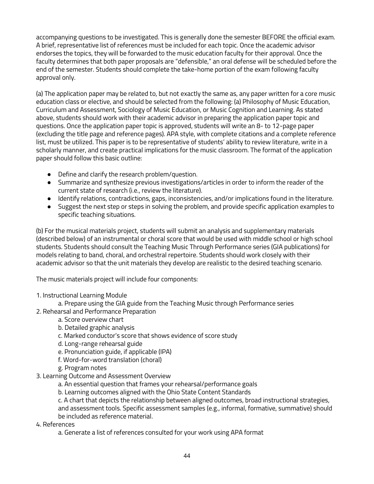accompanying questions to be investigated. This is generally done the semester BEFORE the official exam. A brief, representative list of references must be included for each topic. Once the academic advisor endorses the topics, they will be forwarded to the music education faculty for their approval. Once the faculty determines that both paper proposals are "defensible," an oral defense will be scheduled before the end of the semester. Students should complete the take-home portion of the exam following faculty approval only.

(a) The application paper may be related to, but not exactly the same as, any paper written for a core music education class or elective, and should be selected from the following: (a) Philosophy of Music Education, Curriculum and Assessment, Sociology of Music Education, or Music Cognition and Learning. As stated above, students should work with their academic advisor in preparing the application paper topic and questions. Once the application paper topic is approved, students will write an 8- to 12-page paper (excluding the title page and reference pages). APA style, with complete citations and a complete reference list, must be utilized. This paper is to be representative of students' ability to review literature, write in a scholarly manner, and create practical implications for the music classroom. The format of the application paper should follow this basic outline:

- Define and clarify the research problem/question.
- Summarize and synthesize previous investigations/articles in order to inform the reader of the current state of research (i.e., review the literature).
- Identify relations, contradictions, gaps, inconsistencies, and/or implications found in the literature.
- Suggest the next step or steps in solving the problem, and provide specific application examples to specific teaching situations.

(b) For the musical materials project, students will submit an analysis and supplementary materials (described below) of an instrumental or choral score that would be used with middle school or high school students. Students should consult the Teaching Music Through Performance series (GIA publications) for models relating to band, choral, and orchestral repertoire. Students should work closely with their academic advisor so that the unit materials they develop are realistic to the desired teaching scenario.

The music materials project will include four components:

- 1. Instructional Learning Module
	- a. Prepare using the GIA guide from the Teaching Music through Performance series
- 2. Rehearsal and Performance Preparation
	- a. Score overview chart
	- b. Detailed graphic analysis
	- c. Marked conductor's score that shows evidence of score study
	- d. Long-range rehearsal guide
	- e. Pronunciation guide, if applicable (IPA)
	- f. Word-for-word translation (choral)
	- g. Program notes
- 3. Learning Outcome and Assessment Overview
	- a. An essential question that frames your rehearsal/performance goals
	- b. Learning outcomes aligned with the Ohio State Content Standards

c. A chart that depicts the relationship between aligned outcomes, broad instructional strategies, and assessment tools. Specific assessment samples (e.g., informal, formative, summative) should be included as reference material.

4. References

a. Generate a list of references consulted for your work using APA format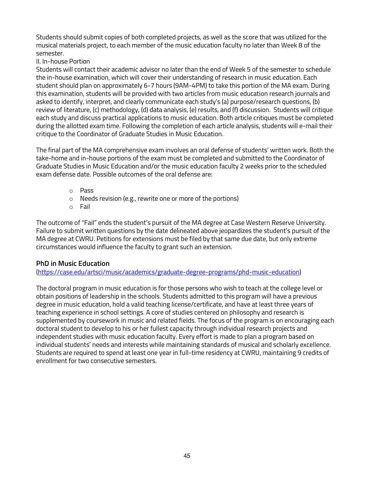Students should submit copies of both completed projects, as well as the score that was utilized for the musical materials project, to each member of the music education faculty no later than Week 8 of the semester.

II. In-house Portion

Students will contact their academic advisor no later than the end of Week 5 of the semester to schedule the in-house examination, which will cover their understanding of research in music education. Each student should plan on approximately 6-7 hours (9AM-4PM) to take this portion of the MA exam. During this examination, students will be provided with two articles from music education research journals and asked to identify, interpret, and clearly communicate each study's (a) purpose/research questions, (b) review of literature, (c) methodology, (d) data analysis, (e) results, and (f) discussion. Students will critique each study and discuss practical applications to music education. Both article critiques must be completed during the allotted exam time. Following the completion of each article analysis, students will e-mail their critique to the Coordinator of Graduate Studies in Music Education.

The final part of the MA comprehensive exam involves an oral defense of students' written work. Both the take-home and in-house portions of the exam must be completed and submitted to the Coordinator of Graduate Studies in Music Education and/or the music education faculty 2 weeks prior to the scheduled exam defense date. Possible outcomes of the oral defense are:

- o Pass
- o Needs revision (e.g., rewrite one or more of the portions)
- o Fail

The outcome of "Fail" ends the student's pursuit of the MA degree at Case Western Reserve University. Failure to submit written questions by the date delineated above jeopardizes the student's pursuit of the MA degree at CWRU. Petitions for extensions must be filed by that same due date, but only extreme circumstances would influence the faculty to grant such an extension.

## **PhD in Music Education**

(https://case.edu/artsci/music/academics/graduate-degree-programs/phd-music-education)

The doctoral program in music education is for those persons who wish to teach at the college level or obtain positions of leadership in the schools. Students admitted to this program will have a previous degree in music education, hold a valid teaching license/certificate, and have at least three years of teaching experience in school settings. A core of studies centered on philosophy and research is supplemented by coursework in music and related fields. The focus of the program is on encouraging each doctoral student to develop to his or her fullest capacity through individual research projects and independent studies with music education faculty. Every effort is made to plan a program based on individual students' needs and interests while maintaining standards of musical and scholarly excellence. Students are required to spend at least one year in full-time residency at CWRU, maintaining 9 credits of enrollment for two consecutive semesters.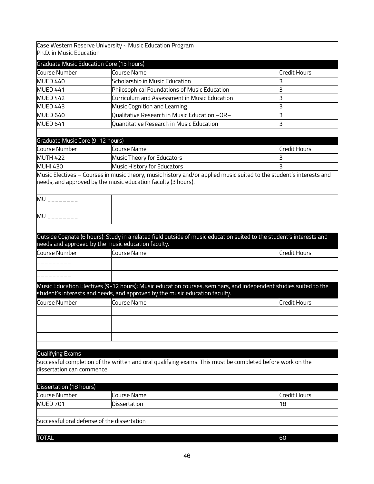| Ph.D. in Music Education                    | Case Western Reserve University ~ Music Education Program                                                                                                                                       |                     |
|---------------------------------------------|-------------------------------------------------------------------------------------------------------------------------------------------------------------------------------------------------|---------------------|
| Graduate Music Education Core (15 hours)    |                                                                                                                                                                                                 |                     |
| <b>Course Number</b>                        | Course Name                                                                                                                                                                                     | <b>Credit Hours</b> |
| MUED 440                                    | Scholarship in Music Education                                                                                                                                                                  | 3                   |
| <b>MUED 441</b>                             | Philosophical Foundations of Music Education                                                                                                                                                    | 3                   |
| MUED 442                                    | Curriculum and Assessment in Music Education                                                                                                                                                    | 3                   |
| <b>MUED 443</b>                             | <b>Music Cognition and Learning</b>                                                                                                                                                             | З                   |
| MUED 640                                    | Qualitative Research in Music Education –OR–                                                                                                                                                    | З                   |
| MUED 641                                    | Quantitative Research in Music Education                                                                                                                                                        | З                   |
|                                             |                                                                                                                                                                                                 |                     |
| Graduate Music Core (9-12 hours)            |                                                                                                                                                                                                 |                     |
| <b>Course Number</b>                        | <b>Course Name</b>                                                                                                                                                                              | <b>Credit Hours</b> |
| <b>MUTH 422</b>                             | Music Theory for Educators                                                                                                                                                                      | З                   |
| <b>MUHI 430</b>                             | Music History for Educators                                                                                                                                                                     | 3                   |
|                                             | Music Electives - Courses in music theory, music history and/or applied music suited to the student's interests and<br>needs, and approved by the music education faculty (3 hours).            |                     |
| MU ________                                 |                                                                                                                                                                                                 |                     |
| MU ________                                 |                                                                                                                                                                                                 |                     |
|                                             |                                                                                                                                                                                                 |                     |
|                                             | Outside Cognate (6 hours): Study in a related field outside of music education suited to the student's interests and                                                                            |                     |
|                                             | needs and approved by the music education faculty.                                                                                                                                              |                     |
| Course Number                               | Course Name                                                                                                                                                                                     | <b>Credit Hours</b> |
|                                             |                                                                                                                                                                                                 |                     |
|                                             |                                                                                                                                                                                                 |                     |
|                                             | Music Education Electives (9-12 hours): Music education courses, seminars, and independent studies suited to the<br>student's interests and needs, and approved by the music education faculty. |                     |
| Course Number                               | <b>Course Name</b>                                                                                                                                                                              | <b>Credit Hours</b> |
|                                             |                                                                                                                                                                                                 |                     |
|                                             |                                                                                                                                                                                                 |                     |
|                                             |                                                                                                                                                                                                 |                     |
|                                             |                                                                                                                                                                                                 |                     |
|                                             |                                                                                                                                                                                                 |                     |
| <b>Qualifying Exams</b>                     |                                                                                                                                                                                                 |                     |
|                                             | Successful completion of the written and oral qualifying exams. This must be completed before work on the                                                                                       |                     |
| dissertation can commence.                  |                                                                                                                                                                                                 |                     |
|                                             |                                                                                                                                                                                                 |                     |
| Dissertation (18 hours)                     |                                                                                                                                                                                                 |                     |
| <b>Course Number</b>                        | Course Name                                                                                                                                                                                     | <b>Credit Hours</b> |
| MUED 701                                    | Dissertation                                                                                                                                                                                    | 18                  |
|                                             |                                                                                                                                                                                                 |                     |
| Successful oral defense of the dissertation |                                                                                                                                                                                                 |                     |
|                                             |                                                                                                                                                                                                 |                     |
| <b>TOTAL</b>                                |                                                                                                                                                                                                 | 60                  |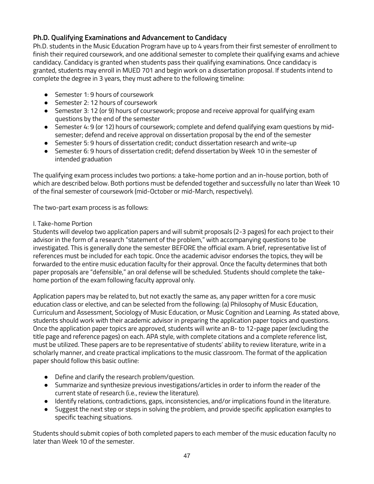## **Ph.D. Qualifying Examinations and Advancement to Candidacy**

Ph.D. students in the Music Education Program have up to 4 years from their first semester of enrollment to finish their required coursework, and one additional semester to complete their qualifying exams and achieve candidacy. Candidacy is granted when students pass their qualifying examinations. Once candidacy is granted, students may enroll in MUED 701 and begin work on a dissertation proposal. If students intend to complete the degree in 3 years, they must adhere to the following timeline:

- Semester 1: 9 hours of coursework
- Semester 2: 12 hours of coursework
- Semester 3: 12 (or 9) hours of coursework; propose and receive approval for qualifying exam questions by the end of the semester
- Semester 4: 9 (or 12) hours of coursework; complete and defend qualifying exam questions by midsemester; defend and receive approval on dissertation proposal by the end of the semester
- Semester 5: 9 hours of dissertation credit; conduct dissertation research and write-up
- Semester 6: 9 hours of dissertation credit; defend dissertation by Week 10 in the semester of intended graduation

The qualifying exam process includes two portions: a take-home portion and an in-house portion, both of which are described below. Both portions must be defended together and successfully no later than Week 10 of the final semester of coursework (mid-October or mid-March, respectively).

The two-part exam process is as follows:

## I. Take-home Portion

Students will develop two application papers and will submit proposals (2-3 pages) for each project to their advisor in the form of a research "statement of the problem," with accompanying questions to be investigated. This is generally done the semester BEFORE the official exam. A brief, representative list of references must be included for each topic. Once the academic advisor endorses the topics, they will be forwarded to the entire music education faculty for their approval. Once the faculty determines that both paper proposals are "defensible," an oral defense will be scheduled. Students should complete the takehome portion of the exam following faculty approval only.

Application papers may be related to, but not exactly the same as, any paper written for a core music education class or elective, and can be selected from the following: (a) Philosophy of Music Education, Curriculum and Assessment, Sociology of Music Education, or Music Cognition and Learning. As stated above, students should work with their academic advisor in preparing the application paper topics and questions. Once the application paper topics are approved, students will write an 8- to 12-page paper (excluding the title page and reference pages) on each. APA style, with complete citations and a complete reference list, must be utilized. These papers are to be representative of students' ability to review literature, write in a scholarly manner, and create practical implications to the music classroom. The format of the application paper should follow this basic outline:

- Define and clarify the research problem/question.
- Summarize and synthesize previous investigations/articles in order to inform the reader of the current state of research (i.e., review the literature).
- Identify relations, contradictions, gaps, inconsistencies, and/or implications found in the literature.
- Suggest the next step or steps in solving the problem, and provide specific application examples to specific teaching situations.

Students should submit copies of both completed papers to each member of the music education faculty no later than Week 10 of the semester.